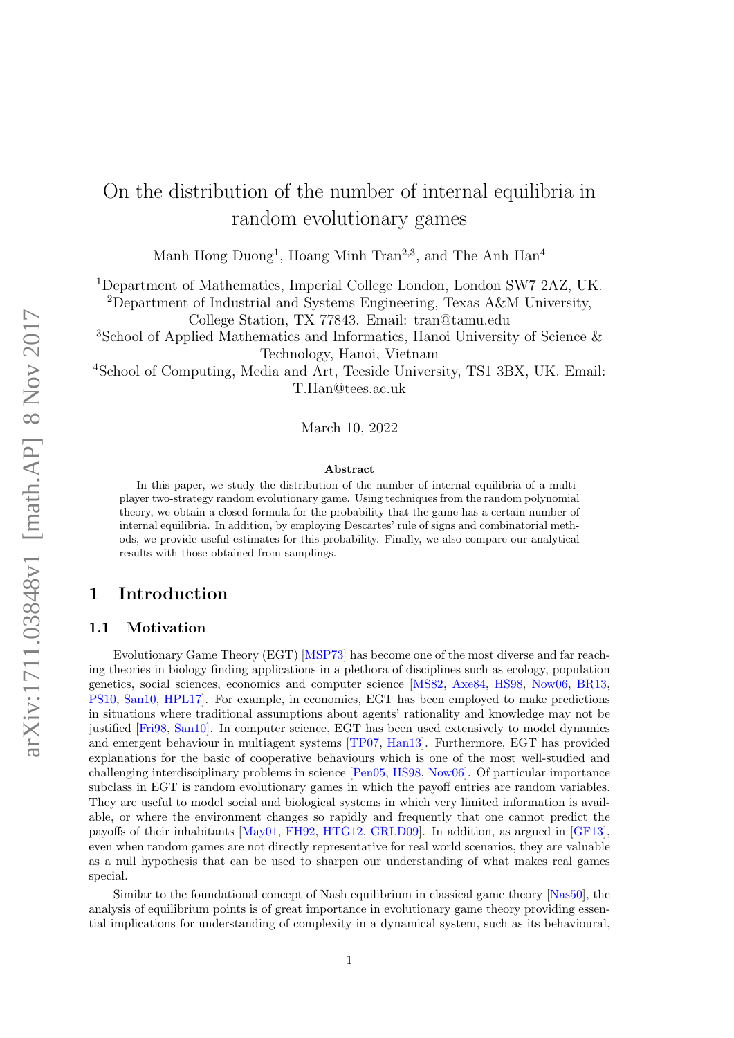# On the distribution of the number of internal equilibria in random evolutionary games

Manh Hong Duong<sup>1</sup>, Hoang Minh Tran<sup>2,3</sup>, and The Anh Han<sup>4</sup>

<sup>1</sup>Department of Mathematics, Imperial College London, London SW7 2AZ, UK.

<sup>2</sup>Department of Industrial and Systems Engineering, Texas A&M University, College Station, TX 77843. Email: tran@tamu.edu

<sup>3</sup>School of Applied Mathematics and Informatics, Hanoi University of Science & Technology, Hanoi, Vietnam

<sup>4</sup>School of Computing, Media and Art, Teeside University, TS1 3BX, UK. Email: T.Han@tees.ac.uk

March 10, 2022

#### Abstract

In this paper, we study the distribution of the number of internal equilibria of a multiplayer two-strategy random evolutionary game. Using techniques from the random polynomial theory, we obtain a closed formula for the probability that the game has a certain number of internal equilibria. In addition, by employing Descartes' rule of signs and combinatorial methods, we provide useful estimates for this probability. Finally, we also compare our analytical results with those obtained from samplings.

## 1 Introduction

### 1.1 Motivation

Evolutionary Game Theory (EGT) [\[MSP73\]](#page-29-0) has become one of the most diverse and far reaching theories in biology finding applications in a plethora of disciplines such as ecology, population genetics, social sciences, economics and computer science [\[MS82,](#page-29-1) [Axe84,](#page-28-0) [HS98,](#page-29-2) [Now06,](#page-29-3) [BR13,](#page-28-1) [PS10,](#page-29-4) [San10,](#page-29-5) [HPL17\]](#page-29-6). For example, in economics, EGT has been employed to make predictions in situations where traditional assumptions about agents' rationality and knowledge may not be justified [\[Fri98,](#page-28-2) [San10\]](#page-29-5). In computer science, EGT has been used extensively to model dynamics and emergent behaviour in multiagent systems [\[TP07,](#page-30-0) [Han13\]](#page-29-7). Furthermore, EGT has provided explanations for the basic of cooperative behaviours which is one of the most well-studied and challenging interdisciplinary problems in science [\[Pen05,](#page-29-8) [HS98,](#page-29-2) [Now06\]](#page-29-3). Of particular importance subclass in EGT is random evolutionary games in which the payoff entries are random variables. They are useful to model social and biological systems in which very limited information is available, or where the environment changes so rapidly and frequently that one cannot predict the payoffs of their inhabitants [\[May01,](#page-29-9) [FH92,](#page-28-3) [HTG12,](#page-29-10) [GRLD09\]](#page-29-11). In addition, as argued in [\[GF13\]](#page-28-4), even when random games are not directly representative for real world scenarios, they are valuable as a null hypothesis that can be used to sharpen our understanding of what makes real games special.

Similar to the foundational concept of Nash equilibrium in classical game theory [\[Nas50\]](#page-29-12), the analysis of equilibrium points is of great importance in evolutionary game theory providing essential implications for understanding of complexity in a dynamical system, such as its behavioural,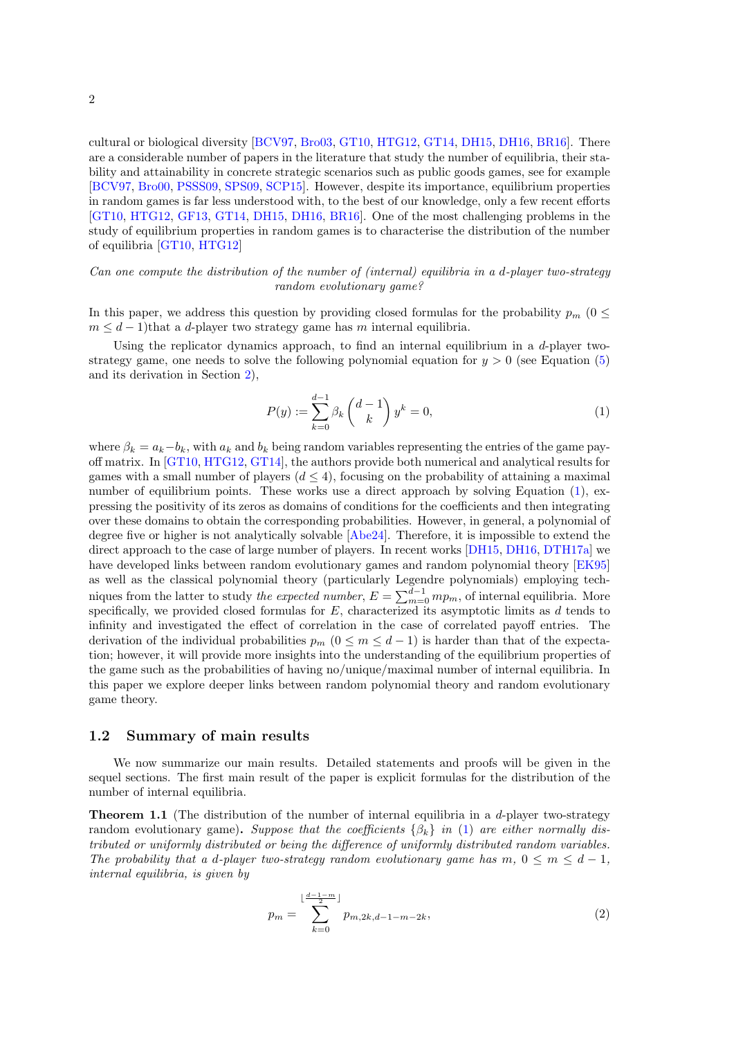cultural or biological diversity [\[BCV97,](#page-28-5) [Bro03,](#page-28-6) [GT10,](#page-29-13) [HTG12,](#page-29-10) [GT14,](#page-29-14) [DH15,](#page-28-7) [DH16,](#page-28-8) [BR16\]](#page-28-9). There are a considerable number of papers in the literature that study the number of equilibria, their stability and attainability in concrete strategic scenarios such as public goods games, see for example [\[BCV97,](#page-28-5) [Bro00,](#page-28-10) [PSSS09,](#page-29-15) [SPS09,](#page-30-1) [SCP15\]](#page-29-16). However, despite its importance, equilibrium properties in random games is far less understood with, to the best of our knowledge, only a few recent efforts [\[GT10,](#page-29-13) [HTG12,](#page-29-10) [GF13,](#page-28-4) [GT14,](#page-29-14) [DH15,](#page-28-7) [DH16,](#page-28-8) [BR16\]](#page-28-9). One of the most challenging problems in the study of equilibrium properties in random games is to characterise the distribution of the number of equilibria [\[GT10,](#page-29-13) [HTG12\]](#page-29-10)

#### Can one compute the distribution of the number of (internal) equilibria in a d-player two-strategy random evolutionary game?

In this paper, we address this question by providing closed formulas for the probability  $p_m$  (0  $\leq$  $m \leq d-1$ )that a d-player two strategy game has m internal equilibria.

Using the replicator dynamics approach, to find an internal equilibrium in a  $d$ -player twostrategy game, one needs to solve the following polynomial equation for  $y > 0$  (see Equation [\(5\)](#page-3-0) and its derivation in Section [2\)](#page-2-0),

<span id="page-1-0"></span>
$$
P(y) := \sum_{k=0}^{d-1} \beta_k \binom{d-1}{k} y^k = 0,
$$
\n(1)

where  $\beta_k = a_k - b_k$ , with  $a_k$  and  $b_k$  being random variables representing the entries of the game payoff matrix. In [\[GT10,](#page-29-13) [HTG12,](#page-29-10) [GT14\]](#page-29-14), the authors provide both numerical and analytical results for games with a small number of players  $(d \leq 4)$ , focusing on the probability of attaining a maximal number of equilibrium points. These works use a direct approach by solving Equation [\(1\)](#page-1-0), expressing the positivity of its zeros as domains of conditions for the coefficients and then integrating over these domains to obtain the corresponding probabilities. However, in general, a polynomial of degree five or higher is not analytically solvable [\[Abe24\]](#page-27-0). Therefore, it is impossible to extend the direct approach to the case of large number of players. In recent works [\[DH15,](#page-28-7) [DH16,](#page-28-8) [DTH17a\]](#page-28-11) we have developed links between random evolutionary games and random polynomial theory [\[EK95\]](#page-28-12) as well as the classical polynomial theory (particularly Legendre polynomials) employing techniques from the latter to study *the expected number*,  $E = \sum_{m=0}^{d-1} mp_m$ , of internal equilibria. More specifically, we provided closed formulas for  $E$ , characterized its asymptotic limits as  $d$  tends to infinity and investigated the effect of correlation in the case of correlated payoff entries. The derivation of the individual probabilities  $p_m$   $(0 \le m \le d-1)$  is harder than that of the expectation; however, it will provide more insights into the understanding of the equilibrium properties of the game such as the probabilities of having no/unique/maximal number of internal equilibria. In this paper we explore deeper links between random polynomial theory and random evolutionary game theory.

#### 1.2 Summary of main results

We now summarize our main results. Detailed statements and proofs will be given in the sequel sections. The first main result of the paper is explicit formulas for the distribution of the number of internal equilibria.

<span id="page-1-1"></span>**Theorem 1.1** (The distribution of the number of internal equilibria in a  $d$ -player two-strategy random evolutionary game). Suppose that the coefficients  $\{\beta_k\}$  in [\(1\)](#page-1-0) are either normally distributed or uniformly distributed or being the difference of uniformly distributed random variables. The probability that a d-player two-strategy random evolutionary game has m,  $0 \le m \le d-1$ , internal equilibria, is given by

<span id="page-1-2"></span>
$$
p_m = \sum_{k=0}^{\lfloor \frac{d-1-m}{2} \rfloor} p_{m,2k,d-1-m-2k},\tag{2}
$$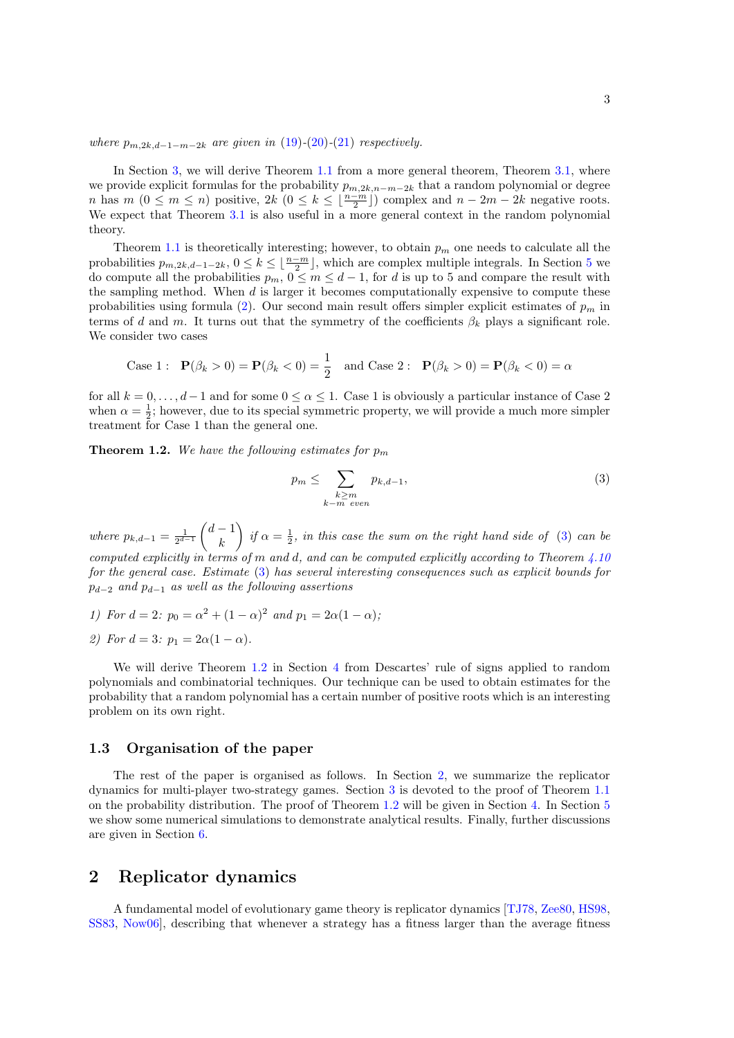where  $p_{m,2k,d-1-m-2k}$  are given in [\(19\)](#page-6-0)-[\(20\)](#page-6-1)-[\(21\)](#page-6-2) respectively.

In Section [3,](#page-3-1) we will derive Theorem [1.1](#page-1-1) from a more general theorem, Theorem [3.1,](#page-4-0) where we provide explicit formulas for the probability  $p_{m,2k,n-m-2k}$  that a random polynomial or degree n has  $m (0 \le m \le n)$  positive,  $2k (0 \le k \le \lfloor \frac{n-m}{2} \rfloor)$  complex and  $n-2m-2k$  negative roots. We expect that Theorem [3.1](#page-4-0) is also useful in a more general context in the random polynomial theory.

Theorem [1.1](#page-1-1) is theoretically interesting; however, to obtain  $p_m$  one needs to calculate all the probabilities  $p_{m,2k,d-1-2k}$ ,  $0 \le k \le \lfloor \frac{n-m}{2} \rfloor$ , which are complex multiple integrals. In Section [5](#page-26-0) we do compute all the probabilities  $p_m$ ,  $0 \leq m \leq d-1$ , for d is up to 5 and compare the result with the sampling method. When  $d$  is larger it becomes computationally expensive to compute these probabilities using formula [\(2\)](#page-1-2). Our second main result offers simpler explicit estimates of  $p_m$  in terms of d and m. It turns out that the symmetry of the coefficients  $\beta_k$  plays a significant role. We consider two cases

Case 1: 
$$
\mathbf{P}(\beta_k > 0) = \mathbf{P}(\beta_k < 0) = \frac{1}{2}
$$
 and Case 2:  $\mathbf{P}(\beta_k > 0) = \mathbf{P}(\beta_k < 0) = \alpha$ 

for all  $k = 0, \ldots, d-1$  and for some  $0 \leq \alpha \leq 1$ . Case 1 is obviously a particular instance of Case 2 when  $\alpha = \frac{1}{2}$ ; however, due to its special symmetric property, we will provide a much more simpler treatment for Case 1 than the general one.

<span id="page-2-2"></span>**Theorem 1.2.** We have the following estimates for  $p_m$ 

<span id="page-2-1"></span>
$$
p_m \leq \sum_{\substack{k \geq m \\ k-m \ even}} p_{k,d-1},\tag{3}
$$

where  $p_{k,d-1} = \frac{1}{2^{d-1}} \begin{pmatrix} d-1 \\ k \end{pmatrix}$ k ) if  $\alpha = \frac{1}{2}$ , in this case the sum on the right hand side of [\(3\)](#page-2-1) can be computed explicitly in terms of m and d, and can be computed explicitly according to Theorem  $4.10$ for the general case. Estimate [\(3\)](#page-2-1) has several interesting consequences such as explicit bounds for  $p_{d-2}$  and  $p_{d-1}$  as well as the following assertions

1) For  $d = 2$ :  $p_0 = \alpha^2 + (1 - \alpha)^2$  and  $p_1 = 2\alpha(1 - \alpha)$ ;

2) For 
$$
d = 3
$$
:  $p_1 = 2\alpha(1 - \alpha)$ .

We will derive Theorem [1.2](#page-2-2) in Section [4](#page-11-0) from Descartes' rule of signs applied to random polynomials and combinatorial techniques. Our technique can be used to obtain estimates for the probability that a random polynomial has a certain number of positive roots which is an interesting problem on its own right.

#### 1.3 Organisation of the paper

The rest of the paper is organised as follows. In Section [2,](#page-2-0) we summarize the replicator dynamics for multi-player two-strategy games. Section [3](#page-3-1) is devoted to the proof of Theorem [1.1](#page-1-1) on the probability distribution. The proof of Theorem [1.2](#page-2-2) will be given in Section [4.](#page-11-0) In Section [5](#page-26-0) we show some numerical simulations to demonstrate analytical results. Finally, further discussions are given in Section [6.](#page-27-1)

## <span id="page-2-0"></span>2 Replicator dynamics

A fundamental model of evolutionary game theory is replicator dynamics [\[TJ78,](#page-30-2) [Zee80,](#page-30-3) [HS98,](#page-29-2) [SS83,](#page-30-4) [Now06\]](#page-29-3), describing that whenever a strategy has a fitness larger than the average fitness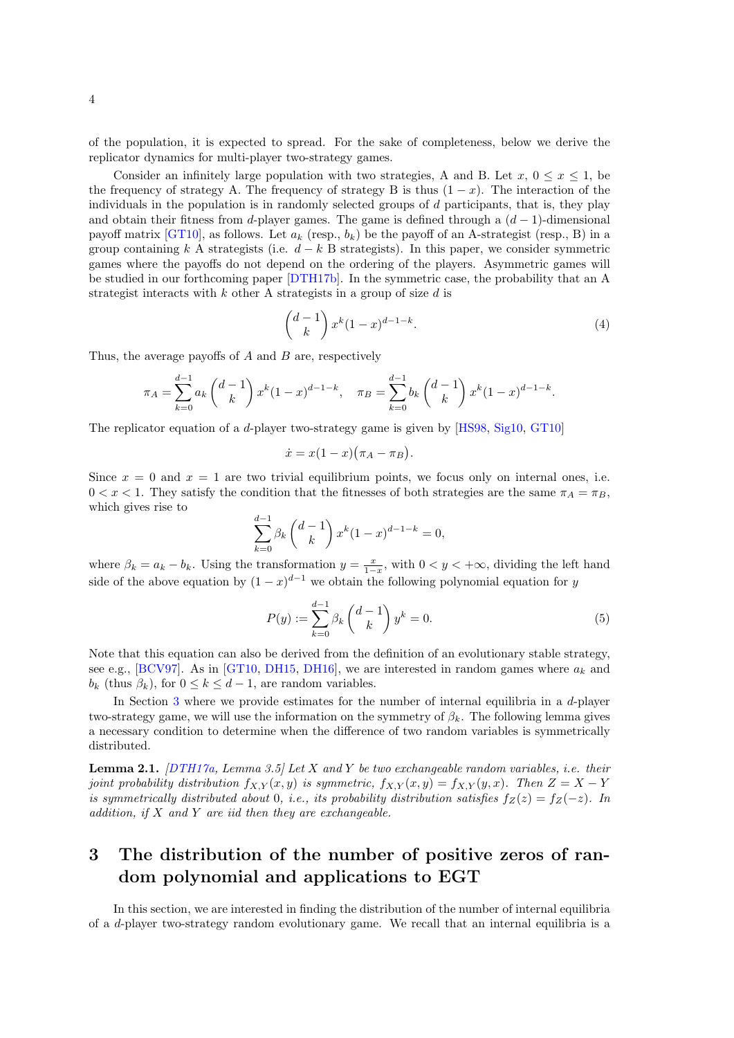of the population, it is expected to spread. For the sake of completeness, below we derive the replicator dynamics for multi-player two-strategy games.

Consider an infinitely large population with two strategies, A and B. Let  $x, 0 \le x \le 1$ , be the frequency of strategy A. The frequency of strategy B is thus  $(1 - x)$ . The interaction of the individuals in the population is in randomly selected groups of  $d$  participants, that is, they play and obtain their fitness from d-player games. The game is defined through a  $(d-1)$ -dimensional payoff matrix [\[GT10\]](#page-29-13), as follows. Let  $a_k$  (resp.,  $b_k$ ) be the payoff of an A-strategist (resp., B) in a group containing k A strategists (i.e.  $d - k$  B strategists). In this paper, we consider symmetric games where the payoffs do not depend on the ordering of the players. Asymmetric games will be studied in our forthcoming paper [\[DTH17b\]](#page-28-13). In the symmetric case, the probability that an A strategist interacts with k other A strategists in a group of size  $d$  is

$$
\binom{d-1}{k} x^k (1-x)^{d-1-k}.\tag{4}
$$

Thus, the average payoffs of  $A$  and  $B$  are, respectively

$$
\pi_A = \sum_{k=0}^{d-1} a_k \binom{d-1}{k} x^k (1-x)^{d-1-k}, \quad \pi_B = \sum_{k=0}^{d-1} b_k \binom{d-1}{k} x^k (1-x)^{d-1-k}.
$$

The replicator equation of a d-player two-strategy game is given by [\[HS98,](#page-29-2) [Sig10,](#page-30-5) [GT10\]](#page-29-13)

$$
\dot{x} = x(1-x)\big(\pi_A - \pi_B\big).
$$

Since  $x = 0$  and  $x = 1$  are two trivial equilibrium points, we focus only on internal ones, i.e.  $0 < x < 1$ . They satisfy the condition that the fitnesses of both strategies are the same  $\pi_A = \pi_B$ , which gives rise to

$$
\sum_{k=0}^{d-1} \beta_k {d-1 \choose k} x^k (1-x)^{d-1-k} = 0,
$$

where  $\beta_k = a_k - b_k$ . Using the transformation  $y = \frac{x}{1-x}$ , with  $0 < y < +\infty$ , dividing the left hand side of the above equation by  $(1-x)^{d-1}$  we obtain the following polynomial equation for y

<span id="page-3-0"></span>
$$
P(y) := \sum_{k=0}^{d-1} \beta_k \binom{d-1}{k} y^k = 0.
$$
 (5)

Note that this equation can also be derived from the definition of an evolutionary stable strategy, see e.g., [\[BCV97\]](#page-28-5). As in [\[GT10,](#page-29-13) [DH15,](#page-28-7) [DH16\]](#page-28-8), we are interested in random games where  $a_k$  and  $b_k$  (thus  $\beta_k$ ), for  $0 \leq k \leq d-1$ , are random variables.

In Section [3](#page-3-1) where we provide estimates for the number of internal equilibria in a d-player two-strategy game, we will use the information on the symmetry of  $\beta_k$ . The following lemma gives a necessary condition to determine when the difference of two random variables is symmetrically distributed.

**Lemma 2.1.**  $[DTH17a, Lemma 3.5]$  $[DTH17a, Lemma 3.5]$  Let X and Y be two exchangeable random variables, i.e. their joint probability distribution  $f_{X,Y}(x, y)$  is symmetric,  $f_{X,Y}(x, y) = f_{X,Y}(y, x)$ . Then  $Z = X - Y$ is symmetrically distributed about 0, i.e., its probability distribution satisfies  $f_Z(z) = f_Z(-z)$ . In addition, if  $X$  and  $Y$  are iid then they are exchangeable.

## <span id="page-3-1"></span>3 The distribution of the number of positive zeros of random polynomial and applications to EGT

In this section, we are interested in finding the distribution of the number of internal equilibria of a d-player two-strategy random evolutionary game. We recall that an internal equilibria is a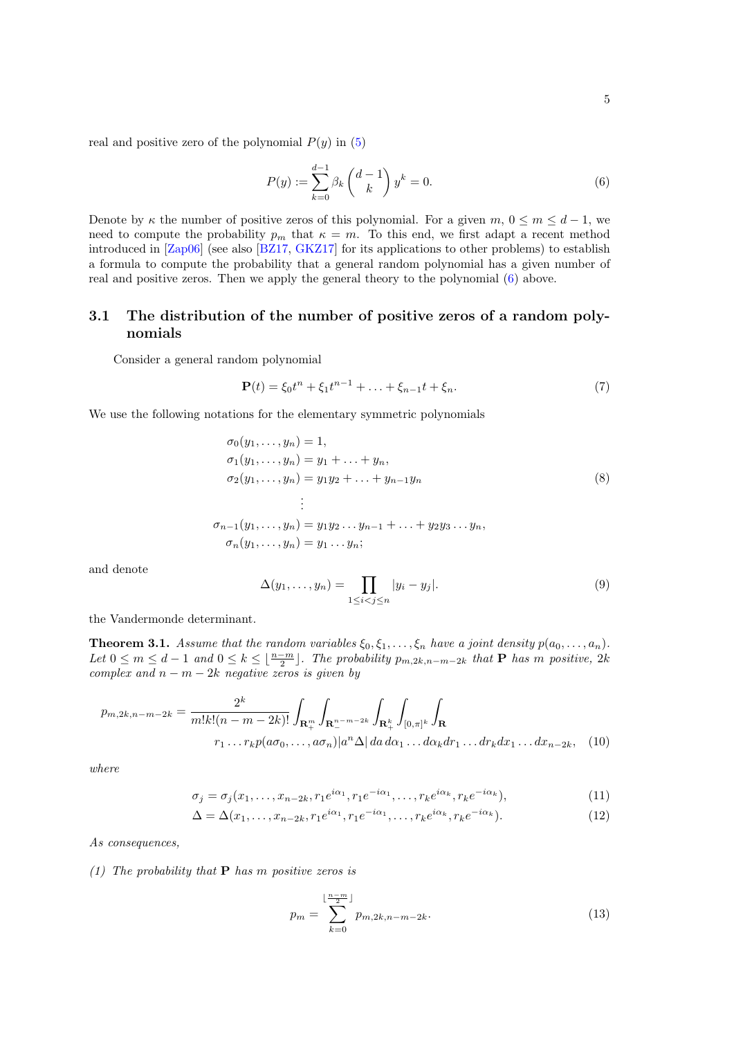real and positive zero of the polynomial  $P(y)$  in [\(5\)](#page-3-0)

<span id="page-4-1"></span>
$$
P(y) := \sum_{k=0}^{d-1} \beta_k \binom{d-1}{k} y^k = 0.
$$
 (6)

Denote by  $\kappa$  the number of positive zeros of this polynomial. For a given  $m, 0 \le m \le d-1$ , we need to compute the probability  $p_m$  that  $\kappa = m$ . To this end, we first adapt a recent method introduced in [\[Zap06\]](#page-30-6) (see also [\[BZ17,](#page-28-14) [GKZ17\]](#page-28-15) for its applications to other problems) to establish a formula to compute the probability that a general random polynomial has a given number of real and positive zeros. Then we apply the general theory to the polynomial [\(6\)](#page-4-1) above.

## 3.1 The distribution of the number of positive zeros of a random polynomials

Consider a general random polynomial

<span id="page-4-5"></span>
$$
\mathbf{P}(t) = \xi_0 t^n + \xi_1 t^{n-1} + \ldots + \xi_{n-1} t + \xi_n.
$$
 (7)

We use the following notations for the elementary symmetric polynomials

$$
\sigma_0(y_1, \ldots, y_n) = 1,
$$
  
\n
$$
\sigma_1(y_1, \ldots, y_n) = y_1 + \ldots + y_n,
$$
  
\n
$$
\sigma_2(y_1, \ldots, y_n) = y_1 y_2 + \ldots + y_{n-1} y_n
$$
  
\n
$$
\vdots
$$
  
\n
$$
\sigma_{n-1}(y_1, \ldots, y_n) = y_1 y_2 \ldots y_{n-1} + \ldots + y_2 y_3 \ldots y_n,
$$
  
\n
$$
\sigma_n(y_1, \ldots, y_n) = y_1 \ldots y_n;
$$
\n(8)

and denote

$$
\Delta(y_1,\ldots,y_n) = \prod_{1 \le i < j \le n} |y_i - y_j|.\tag{9}
$$

the Vandermonde determinant.

<span id="page-4-0"></span>**Theorem 3.1.** Assume that the random variables  $\xi_0, \xi_1, \ldots, \xi_n$  have a joint density  $p(a_0, \ldots, a_n)$ . Let  $0 \leq m \leq d-1$  and  $0 \leq k \leq \lfloor \frac{n-m}{2} \rfloor$ . The probability  $p_{m,2k,n-m-2k}$  that **P** has m positive, 2k complex and  $n - m - 2k$  negative zeros is given by

$$
p_{m,2k,n-m-2k} = \frac{2^k}{m!k!(n-m-2k)!} \int_{\mathbf{R}_+^m} \int_{\mathbf{R}_+^{n-m-2k}} \int_{\mathbf{R}_+^k} \int_{[0,\pi]^k} \int_{\mathbf{R}}
$$
  

$$
r_1 \dots r_k p(a\sigma_0, \dots, a\sigma_n) |a^n \Delta| da \, d\alpha_1 \dots d\alpha_k dr_1 \dots dr_k dx_1 \dots dx_{n-2k}, \quad (10)
$$

where

$$
\sigma_j = \sigma_j(x_1, \dots, x_{n-2k}, r_1 e^{i\alpha_1}, r_1 e^{-i\alpha_1}, \dots, r_k e^{i\alpha_k}, r_k e^{-i\alpha_k}),\tag{11}
$$

$$
\Delta = \Delta(x_1, \dots, x_{n-2k}, r_1 e^{i\alpha_1}, r_1 e^{-i\alpha_1}, \dots, r_k e^{i\alpha_k}, r_k e^{-i\alpha_k}).
$$
\n(12)

As consequences,

#### (1) The probability that **P** has m positive zeros is

<span id="page-4-4"></span><span id="page-4-3"></span><span id="page-4-2"></span>
$$
p_m = \sum_{k=0}^{\lfloor \frac{n-m}{2} \rfloor} p_{m,2k,n-m-2k}.
$$
 (13)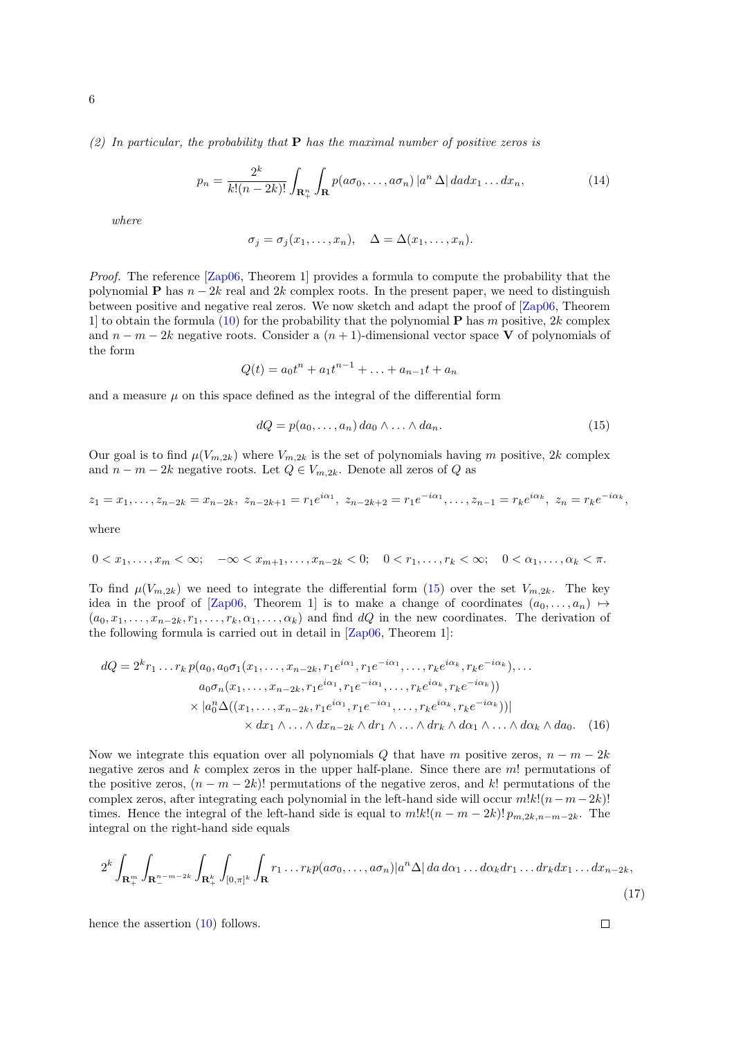(2) In particular, the probability that  $P$  has the maximal number of positive zeros is

$$
p_n = \frac{2^k}{k!(n-2k)!} \int_{\mathbf{R}_+^n} \int_{\mathbf{R}} p(a\sigma_0, \dots, a\sigma_n) |a^n \Delta| da dx_1 \dots dx_n,
$$
 (14)

where

$$
\sigma_j = \sigma_j(x_1, \ldots, x_n), \quad \Delta = \Delta(x_1, \ldots, x_n).
$$

Proof. The reference [\[Zap06,](#page-30-6) Theorem 1] provides a formula to compute the probability that the polynomial **P** has  $n-2k$  real and 2k complex roots. In the present paper, we need to distinguish between positive and negative real zeros. We now sketch and adapt the proof of [\[Zap06,](#page-30-6) Theorem 1 to obtain the formula [\(10\)](#page-4-2) for the probability that the polynomial **P** has m positive, 2k complex and  $n - m - 2k$  negative roots. Consider a  $(n + 1)$ -dimensional vector space V of polynomials of the form

$$
Q(t) = a_0 t^n + a_1 t^{n-1} + \ldots + a_{n-1} t + a_n
$$

and a measure  $\mu$  on this space defined as the integral of the differential form

<span id="page-5-0"></span>
$$
dQ = p(a_0, \dots, a_n) \, da_0 \wedge \dots \wedge da_n. \tag{15}
$$

Our goal is to find  $\mu(V_{m,2k})$  where  $V_{m,2k}$  is the set of polynomials having m positive, 2k complex and  $n - m - 2k$  negative roots. Let  $Q \in V_{m,2k}$ . Denote all zeros of Q as

$$
z_1 = x_1, \dots, z_{n-2k} = x_{n-2k}, \ z_{n-2k+1} = r_1 e^{i\alpha_1}, \ z_{n-2k+2} = r_1 e^{-i\alpha_1}, \dots, z_{n-1} = r_k e^{i\alpha_k}, \ z_n = r_k e^{-i\alpha_k},
$$

where

$$
0 < x_1, \ldots, x_m < \infty; \quad -\infty < x_{m+1}, \ldots, x_{n-2k} < 0; \quad 0 < r_1, \ldots, r_k < \infty; \quad 0 < \alpha_1, \ldots, \alpha_k < \pi.
$$

To find  $\mu(V_{m,2k})$  we need to integrate the differential form [\(15\)](#page-5-0) over the set  $V_{m,2k}$ . The key idea in the proof of [\[Zap06,](#page-30-6) Theorem 1] is to make a change of coordinates  $(a_0, \ldots, a_n) \mapsto$  $(a_0, x_1, \ldots, x_{n-2k}, r_1, \ldots, r_k, \alpha_1, \ldots, \alpha_k)$  and find dQ in the new coordinates. The derivation of the following formula is carried out in detail in [\[Zap06,](#page-30-6) Theorem 1]:

$$
dQ = 2^{k}r_{1} \dots r_{k} p(a_{0}, a_{0}\sigma_{1}(x_{1}, \dots, x_{n-2k}, r_{1}e^{i\alpha_{1}}, r_{1}e^{-i\alpha_{1}}, \dots, r_{k}e^{i\alpha_{k}}, r_{k}e^{-i\alpha_{k}}), \dots
$$
  
\n
$$
a_{0}\sigma_{n}(x_{1}, \dots, x_{n-2k}, r_{1}e^{i\alpha_{1}}, r_{1}e^{-i\alpha_{1}}, \dots, r_{k}e^{i\alpha_{k}}, r_{k}e^{-i\alpha_{k}}))
$$
  
\n
$$
\times |a_{0}^{n}\Delta((x_{1}, \dots, x_{n-2k}, r_{1}e^{i\alpha_{1}}, r_{1}e^{-i\alpha_{1}}, \dots, r_{k}e^{i\alpha_{k}}, r_{k}e^{-i\alpha_{k}}))|
$$
  
\n
$$
\times dx_{1} \wedge \dots \wedge dx_{n-2k} \wedge dr_{1} \wedge \dots \wedge dr_{k} \wedge d\alpha_{1} \wedge \dots \wedge d\alpha_{k} \wedge da_{0}.
$$
 (16)

Now we integrate this equation over all polynomials Q that have m positive zeros,  $n - m - 2k$ negative zeros and  $k$  complex zeros in the upper half-plane. Since there are  $m!$  permutations of the positive zeros,  $(n - m - 2k)!$  permutations of the negative zeros, and k! permutations of the complex zeros, after integrating each polynomial in the left-hand side will occur  $m!k!(n-m-2k)!$ times. Hence the integral of the left-hand side is equal to  $m!k!(n-m-2k)!p_{m,2k,n-m-2k}$ . The integral on the right-hand side equals

$$
2^k \int_{\mathbf{R}_+^m} \int_{\mathbf{R}_-^{n-m-2k}} \int_{\mathbf{R}_+^k} \int_{[0,\pi]^k} \int_{\mathbf{R}} r_1 \dots r_k p(a\sigma_0, \dots, a\sigma_n) |a^n \Delta| da \, d\alpha_1 \dots d\alpha_k dr_1 \dots dr_k dx_1 \dots dx_{n-2k},\tag{17}
$$

hence the assertion [\(10\)](#page-4-2) follows.

$$
\qquad \qquad \Box
$$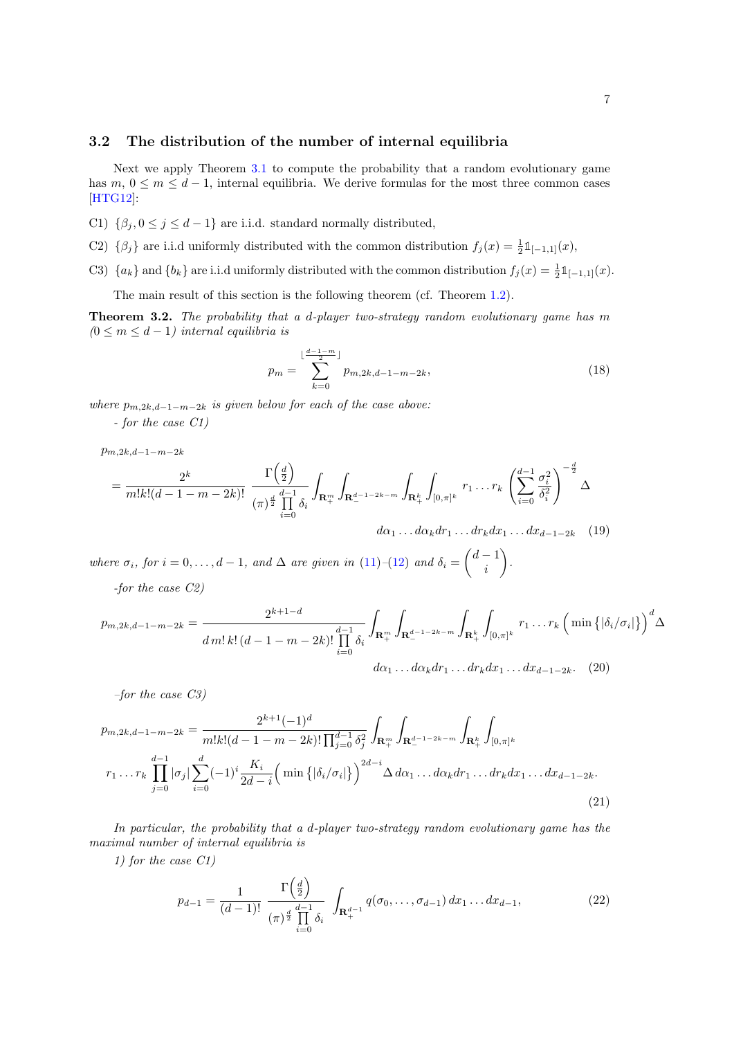### 3.2 The distribution of the number of internal equilibria

Next we apply Theorem [3.1](#page-4-0) to compute the probability that a random evolutionary game has  $m, 0 \leq m \leq d-1$ , internal equilibria. We derive formulas for the most three common cases [\[HTG12\]](#page-29-10):

- C1)  $\{\beta_i, 0 \leq j \leq d-1\}$  are i.i.d. standard normally distributed,
- C2)  $\{\beta_j\}$  are i.i.d uniformly distributed with the common distribution  $f_j(x) = \frac{1}{2} \mathbb{1}_{[-1,1]}(x)$ ,
- C3)  $\{a_k\}$  and  $\{b_k\}$  are i.i.d uniformly distributed with the common distribution  $f_j(x) = \frac{1}{2} \mathbb{1}_{[-1,1]}(x)$ .

The main result of this section is the following theorem (cf. Theorem [1.2\)](#page-2-2).

<span id="page-6-4"></span>Theorem 3.2. The probability that a d-player two-strategy random evolutionary game has m  $(0 \le m \le d-1)$  internal equilibria is

<span id="page-6-1"></span><span id="page-6-0"></span>
$$
p_m = \sum_{k=0}^{\lfloor \frac{d-1-m}{2} \rfloor} p_{m,2k,d-1-m-2k},\tag{18}
$$

where  $p_{m,2k,d-1-m-2k}$  is given below for each of the case above:

- for the case C1)

 $p_{m,2k,d-1-m-2k}$ 

$$
= \frac{2^{k}}{m!k!(d-1-m-2k)!} \frac{\Gamma(\frac{d}{2})}{(\pi)^{\frac{d}{2}} \prod_{i=0}^{d-1} \delta_{i}} \int_{\mathbf{R}_{+}^{m}} \int_{\mathbf{R}_{-}^{d-1-2k-m}} \int_{\mathbf{R}_{+}^{k}} \int_{[0,\pi]^{k}} r_{1} \dots r_{k} \left(\sum_{i=0}^{d-1} \frac{\sigma_{i}^{2}}{\delta_{i}^{2}}\right)^{-\frac{d}{2}} \Delta
$$

$$
d\alpha_{1} \dots d\alpha_{k} dr_{1} \dots dr_{k} dx_{1} \dots dx_{d-1-2k} \quad (19)
$$

where  $\sigma_i$ , for  $i = 0, \ldots, d - 1$ , and  $\Delta$  are given in [\(11\)](#page-4-3)–[\(12\)](#page-4-4) and  $\delta_i = \begin{pmatrix} d-1 \\ i \end{pmatrix}$ i .

-for the case C2)

$$
p_{m,2k,d-1-m-2k} = \frac{2^{k+1-d}}{d\,m!\,k!\,(d-1-m-2k)!\prod_{i=0}^{d-1}\delta_i} \int_{\mathbf{R}_+^m} \int_{\mathbf{R}_-^{d-1-2k-m}} \int_{\mathbf{R}_+^k} \int_{[0,\pi]^k} r_1 \ldots r_k \left(\min\left\{|\delta_i/\sigma_i|\right\}\right)^d \Delta
$$

$$
d\alpha_1 \ldots d\alpha_k dr_1 \ldots dr_k dx_1 \ldots dx_{d-1-2k}.
$$
 (20)

–for the case C3)

$$
p_{m,2k,d-1-m-2k} = \frac{2^{k+1}(-1)^d}{m!k!(d-1-m-2k)! \prod_{j=0}^{d-1} \delta_j^2} \int_{\mathbf{R}_+^m} \int_{\mathbf{R}_-^{d-1-2k-m}} \int_{\mathbf{R}_+^k} \int_{[0,\pi]^k}
$$
  

$$
r_1 \dots r_k \prod_{j=0}^{d-1} |\sigma_j| \sum_{i=0}^d (-1)^i \frac{K_i}{2d-i} \left( \min \{ |\delta_i/\sigma_i| \} \right)^{2d-i} \Delta d\alpha_1 \dots d\alpha_k dr_1 \dots dr_k dx_1 \dots dx_{d-1-2k}.
$$
  
(21)

In particular, the probability that a d-player two-strategy random evolutionary game has the maximal number of internal equilibria is

1) for the case C1)

<span id="page-6-3"></span><span id="page-6-2"></span>
$$
p_{d-1} = \frac{1}{(d-1)!} \frac{\Gamma\left(\frac{d}{2}\right)}{(\pi)^{\frac{d}{2}} \prod_{i=0}^{d-1} \delta_i} \int_{\mathbf{R}_+^{d-1}} q(\sigma_0, \dots, \sigma_{d-1}) dx_1 \dots dx_{d-1},
$$
 (22)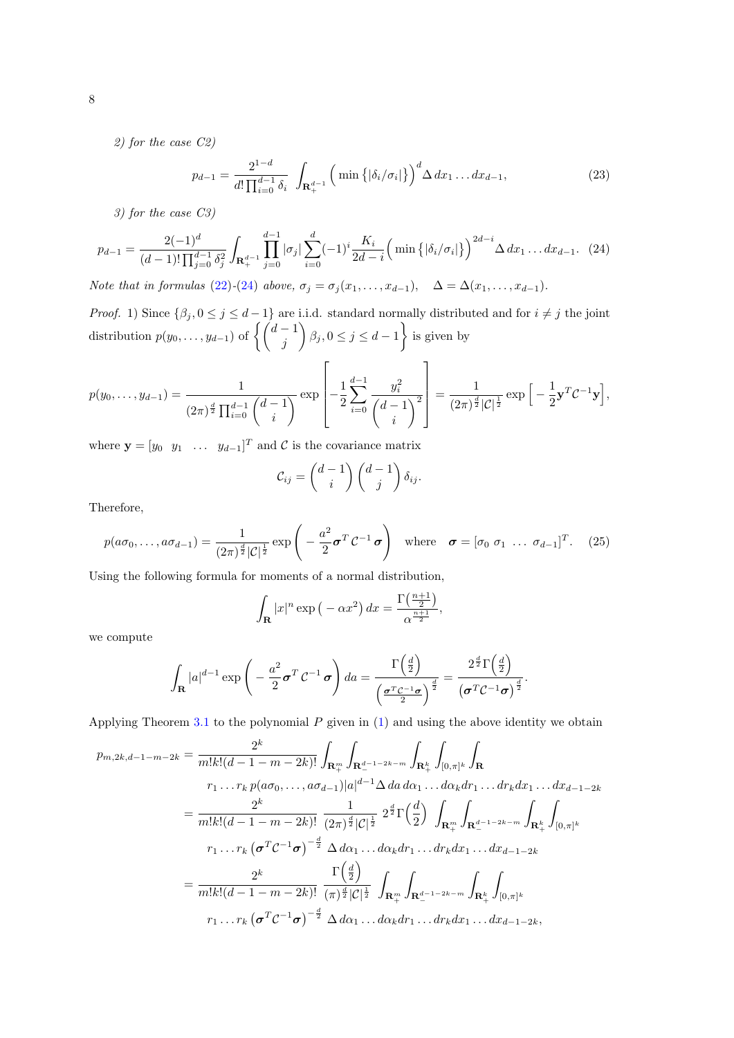2) for the case C2)

$$
p_{d-1} = \frac{2^{1-d}}{d! \prod_{i=0}^{d-1} \delta_i} \int_{\mathbf{R}^{d-1}_+} \left( \min \left\{ |\delta_i / \sigma_i| \right\} \right)^d \Delta \, dx_1 \dots dx_{d-1},\tag{23}
$$

3) for the case C3)

<span id="page-7-0"></span>
$$
p_{d-1} = \frac{2(-1)^d}{(d-1)! \prod_{j=0}^{d-1} \delta_j^2} \int_{\mathbf{R}_+^{d-1}} \prod_{j=0}^{d-1} |\sigma_j| \sum_{i=0}^d (-1)^i \frac{K_i}{2d-i} \left( \min \left\{ |\delta_i / \sigma_i| \right\} \right)^{2d-i} \Delta \, dx_1 \dots dx_{d-1}. \tag{24}
$$

Note that in formulas [\(22\)](#page-6-3)-[\(24\)](#page-7-0) above,  $\sigma_j = \sigma_j(x_1, \ldots, x_{d-1}), \Delta = \Delta(x_1, \ldots, x_{d-1}).$ 

*Proof.* 1) Since  $\{\beta_j, 0 \leq j \leq d-1\}$  are i.i.d. standard normally distributed and for  $i \neq j$  the joint distribution  $p(y_0, \ldots, y_{d-1})$  of  $\left\{ \begin{pmatrix} d-1 \\ j \end{pmatrix} \right\}$  $\left\{ \beta_j, 0 \leq j \leq d-1 \right\}$  is given by

$$
p(y_0, \ldots, y_{d-1}) = \frac{1}{(2\pi)^{\frac{d}{2}} \prod_{i=0}^{d-1} {d-1 \choose i}} \exp\left[-\frac{1}{2} \sum_{i=0}^{d-1} \frac{y_i^2}{d-1} \right] = \frac{1}{(2\pi)^{\frac{d}{2}} |\mathcal{C}|^{\frac{1}{2}}} \exp\left[-\frac{1}{2} \mathbf{y}^T \mathcal{C}^{-1} \mathbf{y}\right],
$$

where  $\mathbf{y} = \begin{bmatrix} y_0 & y_1 & \dots & y_{d-1} \end{bmatrix}^T$  and C is the covariance matrix

$$
\mathcal{C}_{ij} = \begin{pmatrix} d-1 \\ i \end{pmatrix} \begin{pmatrix} d-1 \\ j \end{pmatrix} \delta_{ij}.
$$

Therefore,

<span id="page-7-1"></span>
$$
p(a\sigma_0,\ldots,a\sigma_{d-1})=\frac{1}{(2\pi)^{\frac{d}{2}}|\mathcal{C}|^{\frac{1}{2}}}\exp\left(-\frac{a^2}{2}\boldsymbol{\sigma}^T\mathcal{C}^{-1}\boldsymbol{\sigma}\right) \text{ where } \boldsymbol{\sigma}=[\sigma_0 \ \sigma_1 \ \ldots \ \sigma_{d-1}]^T. \tag{25}
$$

Using the following formula for moments of a normal distribution,

$$
\int_{\mathbf{R}} |x|^n \exp\left(-\alpha x^2\right) dx = \frac{\Gamma\left(\frac{n+1}{2}\right)}{\alpha^{\frac{n+1}{2}}},
$$

we compute

$$
\int_{\mathbf{R}} |a|^{d-1} \exp\left(-\frac{a^2}{2}\boldsymbol{\sigma}^T \mathcal{C}^{-1} \boldsymbol{\sigma}\right) da = \frac{\Gamma\left(\frac{d}{2}\right)}{\left(\frac{\boldsymbol{\sigma}^T \mathcal{C}^{-1} \boldsymbol{\sigma}}{2}\right)^{\frac{d}{2}}} = \frac{2^{\frac{d}{2}} \Gamma\left(\frac{d}{2}\right)}{\left(\boldsymbol{\sigma}^T \mathcal{C}^{-1} \boldsymbol{\sigma}\right)^{\frac{d}{2}}}.
$$

Applying Theorem [3.1](#page-4-0) to the polynomial  $P$  given in  $(1)$  and using the above identity we obtain

$$
p_{m,2k,d-1-m-2k} = \frac{2^k}{m!k!(d-1-m-2k)!} \int_{\mathbf{R}_+^m} \int_{\mathbf{R}_-^{d-1-2k-m}} \int_{\mathbf{R}_+^k} \int_{[0,\pi]^k} \int_{\mathbf{R}}
$$
  

$$
r_1 \dots r_k p(a\sigma_0, \dots, a\sigma_{d-1}) |a|^{d-1} \Delta da \, d\alpha_1 \dots d\alpha_k dr_1 \dots dr_k dx_1 \dots dx_{d-1-2k}
$$
  

$$
= \frac{2^k}{m!k!(d-1-m-2k)!} \frac{1}{(2\pi)^{\frac{d}{2}} |\mathcal{C}|^{\frac{1}{2}}} 2^{\frac{d}{2}} \Gamma(\frac{d}{2}) \int_{\mathbf{R}_+^m} \int_{\mathbf{R}_-^{d-1-2k-m}} \int_{\mathbf{R}_+^k} \int_{[0,\pi]^k}
$$
  

$$
r_1 \dots r_k (\sigma^T \mathcal{C}^{-1} \sigma)^{-\frac{d}{2}} \Delta da_1 \dots d\alpha_k dr_1 \dots dr_k dx_1 \dots dx_{d-1-2k}
$$
  

$$
= \frac{2^k}{m!k!(d-1-m-2k)!} \frac{\Gamma(\frac{d}{2})}{(\pi)^{\frac{d}{2}} |\mathcal{C}|^{\frac{1}{2}}} \int_{\mathbf{R}_+^m} \int_{\mathbf{R}_-^{d-1-2k-m}} \int_{\mathbf{R}_+^k} \int_{[0,\pi]^k}
$$
  

$$
r_1 \dots r_k (\sigma^T \mathcal{C}^{-1} \sigma)^{-\frac{d}{2}} \Delta da_1 \dots d\alpha_k dr_1 \dots dr_k dx_1 \dots dx_{d-1-2k},
$$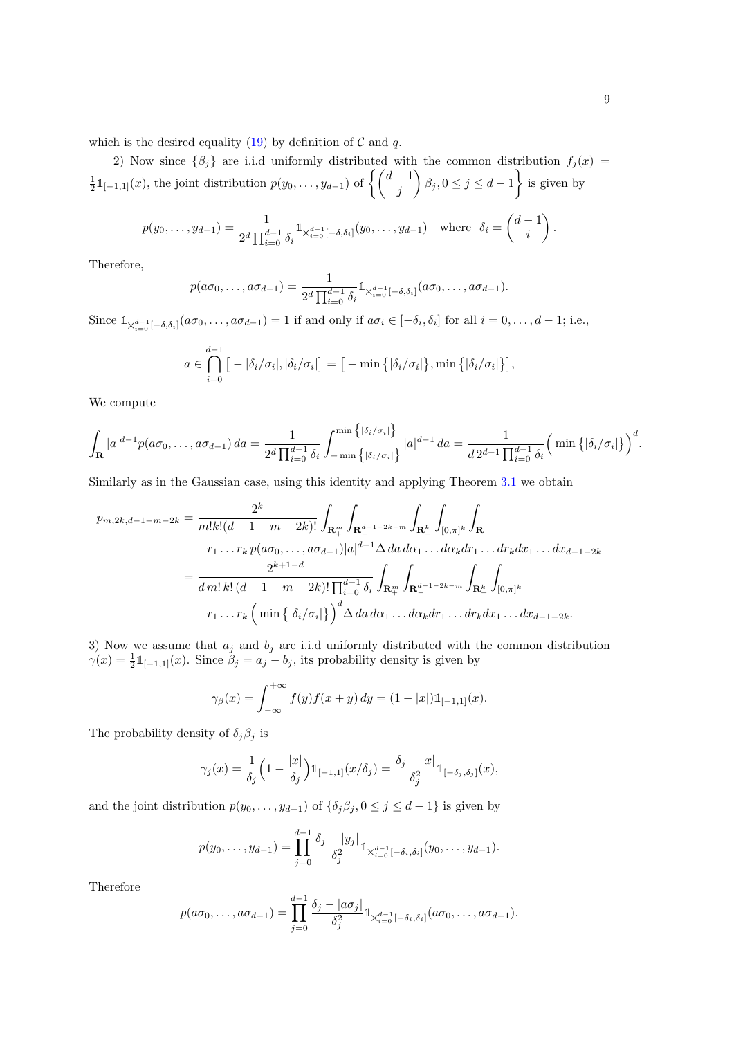2) Now since  $\{\beta_i\}$  are i.i.d uniformly distributed with the common distribution  $f_i(x)$  $\frac{1}{2} \mathbb{1}_{[-1,1]}(x)$ , the joint distribution  $p(y_0, \ldots, y_{d-1})$  of  $\left\{ \begin{pmatrix} d-1 \\ j \end{pmatrix} \right\}$  $\left\{\beta_j, 0 \leq j \leq d-1\right\}$  is given by

$$
p(y_0, \ldots, y_{d-1}) = \frac{1}{2^d \prod_{i=0}^{d-1} \delta_i} \mathbb{1}_{\times_{i=0}^{d-1} [-\delta, \delta_i]}(y_0, \ldots, y_{d-1}) \text{ where } \delta_i = \begin{pmatrix} d-1 \\ i \end{pmatrix}.
$$

Therefore,

$$
p(a\sigma_0,\ldots,a\sigma_{d-1})=\frac{1}{2^d\prod_{i=0}^{d-1}\delta_i}\mathbb{1}_{\times_{i=0}^{d-1}[-\delta,\delta_i]}(a\sigma_0,\ldots,a\sigma_{d-1}).
$$

Since  $\mathbb{1}_{\chi_{i=0}^{d-1}[-\delta,\delta_i]}(a\sigma_0,\ldots,a\sigma_{d-1})=1$  if and only if  $a\sigma_i\in[-\delta_i,\delta_i]$  for all  $i=0,\ldots,d-1$ ; i.e.,

$$
a \in \bigcap_{i=0}^{d-1} [-|\delta_i/\sigma_i|, |\delta_i/\sigma_i|] = [-\min\{|\delta_i/\sigma_i|\}, \min\{|\delta_i/\sigma_i|\}],
$$

We compute

$$
\int_{\mathbf{R}} |a|^{d-1} p(a\sigma_0, \ldots, a\sigma_{d-1}) da = \frac{1}{2^d \prod_{i=0}^{d-1} \delta_i} \int_{-\min\left\{ |\delta_i / \sigma_i| \right\}}^{\min\left\{ |\delta_i / \sigma_i| \right\}} |a|^{d-1} da = \frac{1}{d 2^{d-1} \prod_{i=0}^{d-1} \delta_i} \Big( \min \left\{ |\delta_i / \sigma_i| \right\} \Big)^d.
$$

Similarly as in the Gaussian case, using this identity and applying Theorem [3.1](#page-4-0) we obtain

$$
p_{m,2k,d-1-m-2k} = \frac{2^k}{m!k!(d-1-m-2k)!} \int_{\mathbf{R}_+^m} \int_{\mathbf{R}_-^{d-1-2k-m}} \int_{\mathbf{R}_+^k} \int_{[0,\pi]^k} \int_{\mathbf{R}}
$$
  

$$
r_1 \dots r_k p(a\sigma_0, \dots, a\sigma_{d-1}) |a|^{d-1} \Delta da \, d\alpha_1 \dots d\alpha_k dr_1 \dots dr_k dx_1 \dots dx_{d-1-2k}
$$
  

$$
= \frac{2^{k+1-d}}{d m! k! (d-1-m-2k)!} \prod_{i=0}^{d-1} \delta_i \int_{\mathbf{R}_+^m} \int_{\mathbf{R}_-^{d-1-2k-m}} \int_{\mathbf{R}_+^k} \int_{[0,\pi]^k}
$$
  

$$
r_1 \dots r_k \left( \min \{ |\delta_i/\sigma_i| \} \right)^d \Delta da \, d\alpha_1 \dots d\alpha_k dr_1 \dots dr_k dx_1 \dots dx_{d-1-2k}.
$$

3) Now we assume that  $a_j$  and  $b_j$  are i.i.d uniformly distributed with the common distribution  $\gamma(x) = \frac{1}{2} \mathbb{1}_{[-1,1]}(x)$ . Since  $\beta_j = a_j - b_j$ , its probability density is given by

$$
\gamma_{\beta}(x) = \int_{-\infty}^{+\infty} f(y) f(x+y) dy = (1-|x|) \mathbb{1}_{[-1,1]}(x).
$$

The probability density of  $\delta_j \beta_j$  is

$$
\gamma_j(x) = \frac{1}{\delta_j} \Big( 1 - \frac{|x|}{\delta_j} \Big) \mathbb{1}_{[-1,1]}(x/\delta_j) = \frac{\delta_j - |x|}{\delta_j^2} \mathbb{1}_{[-\delta_j, \delta_j]}(x),
$$

and the joint distribution  $p(y_0, \ldots, y_{d-1})$  of  $\{\delta_j \beta_j, 0 \leq j \leq d-1\}$  is given by

$$
p(y_0,\ldots,y_{d-1})=\prod_{j=0}^{d-1}\frac{\delta_j-|y_j|}{\delta_j^2}\mathbb{1}_{\times_{i=0}^{d-1}[-\delta_i,\delta_i]}(y_0,\ldots,y_{d-1}).
$$

Therefore

$$
p(a\sigma_0,\ldots,a\sigma_{d-1})=\prod_{j=0}^{d-1}\frac{\delta_j-|a\sigma_j|}{\delta_j^2}\mathbb{1}_{\times_{i=0}^{d-1}[-\delta_i,\delta_i]}(a\sigma_0,\ldots,a\sigma_{d-1}).
$$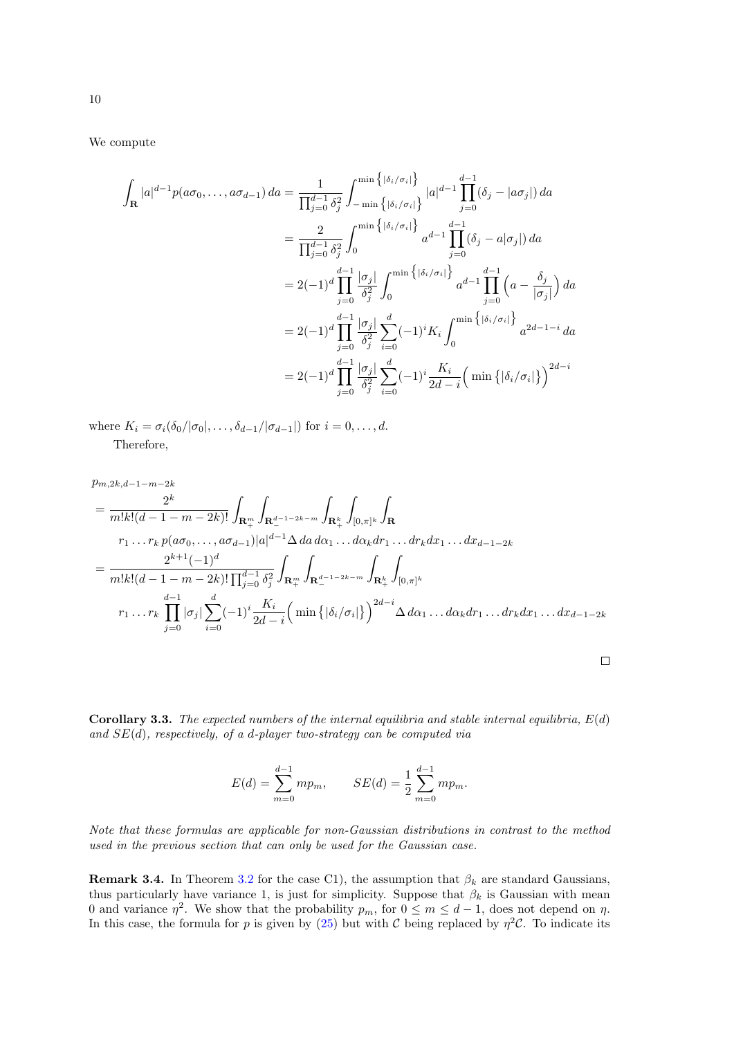We compute

$$
\int_{\mathbf{R}} |a|^{d-1} p(a\sigma_{0},...,a\sigma_{d-1}) da = \frac{1}{\prod_{j=0}^{d-1} \delta_{j}^{2}} \int_{-\min\left\{ |\delta_{i}/\sigma_{i}| \right\}}^{\min\left\{ |\delta_{i}/\sigma_{i}| \right\}} |a|^{d-1} \prod_{j=0}^{d-1} (\delta_{j} - |a\sigma_{j}|) da
$$
  
\n
$$
= \frac{2}{\prod_{j=0}^{d-1} \delta_{j}^{2}} \int_{0}^{\min\left\{ |\delta_{i}/\sigma_{i}| \right\}} a^{d-1} \prod_{j=0}^{d-1} (\delta_{j} - a|\sigma_{j}|) da
$$
  
\n
$$
= 2(-1)^{d} \prod_{j=0}^{d-1} \frac{|\sigma_{j}|}{\delta_{j}^{2}} \int_{0}^{\min\left\{ |\delta_{i}/\sigma_{i}| \right\}} a^{d-1} \prod_{j=0}^{d-1} (a - \frac{\delta_{j}}{|\sigma_{j}|}) da
$$
  
\n
$$
= 2(-1)^{d} \prod_{j=0}^{d-1} \frac{|\sigma_{j}|}{\delta_{j}^{2}} \sum_{i=0}^{d} (-1)^{i} K_{i} \int_{0}^{\min\left\{ |\delta_{i}/\sigma_{i}| \right\}} a^{2d-1-i} da
$$
  
\n
$$
= 2(-1)^{d} \prod_{j=0}^{d-1} \frac{|\sigma_{j}|}{\delta_{j}^{2}} \sum_{i=0}^{d} (-1)^{i} \frac{K_{i}}{2d-i} \left( \min\left\{ |\delta_{i}/\sigma_{i}| \right\} \right)^{2d-i}
$$

where  $K_i = \sigma_i(\delta_0/|\sigma_0|, \ldots, \delta_{d-1}/|\sigma_{d-1}|)$  for  $i = 0, \ldots, d$ . Therefore,

$$
p_{m,2k,d-1-m-2k}
$$
\n
$$
= \frac{2^{k}}{m!k!(d-1-m-2k)!} \int_{\mathbf{R}_{+}^{m}} \int_{\mathbf{R}_{-}^{d-1-2k-m}} \int_{\mathbf{R}_{+}^{k}} \int_{[0,\pi]^{k}} \int_{\mathbf{R}}
$$
\n
$$
r_{1} \dots r_{k} p(a\sigma_{0}, \dots, a\sigma_{d-1})|a|^{d-1} \Delta da \, d\alpha_{1} \dots d\alpha_{k} dr_{1} \dots dr_{k} dx_{1} \dots dx_{d-1-2k}
$$
\n
$$
= \frac{2^{k+1}(-1)^{d}}{m!k!(d-1-m-2k)!} \prod_{j=0}^{d-1} \delta_{j}^{2} \int_{\mathbf{R}_{+}^{m}} \int_{\mathbf{R}_{-}^{d-1-2k-m}} \int_{\mathbf{R}_{+}^{k}} \int_{[0,\pi]^{k}}
$$
\n
$$
r_{1} \dots r_{k} \prod_{j=0}^{d-1} |\sigma_{j}| \sum_{i=0}^{d} (-1)^{i} \frac{K_{i}}{2d-i} \left(\min\left\{ |\delta_{i}/\sigma_{i}| \right\} \right)^{2d-i} \Delta d\alpha_{1} \dots d\alpha_{k} dr_{1} \dots dr_{k} dx_{1} \dots dx_{d-1-2k}
$$

**Corollary 3.3.** The expected numbers of the internal equilibria and stable internal equilibria,  $E(d)$ and  $SE(d)$ , respectively, of a d-player two-strategy can be computed via

 $\Box$ 

$$
E(d) = \sum_{m=0}^{d-1} m p_m, \qquad SE(d) = \frac{1}{2} \sum_{m=0}^{d-1} m p_m.
$$

Note that these formulas are applicable for non-Gaussian distributions in contrast to the method used in the previous section that can only be used for the Gaussian case.

**Remark 3.4.** In Theorem [3.2](#page-6-4) for the case C1), the assumption that  $\beta_k$  are standard Gaussians, thus particularly have variance 1, is just for simplicity. Suppose that  $\beta_k$  is Gaussian with mean 0 and variance  $\eta^2$ . We show that the probability  $p_m$ , for  $0 \le m \le d-1$ , does not depend on  $\eta$ . In this case, the formula for p is given by [\(25\)](#page-7-1) but with C being replaced by  $\eta^2 C$ . To indicate its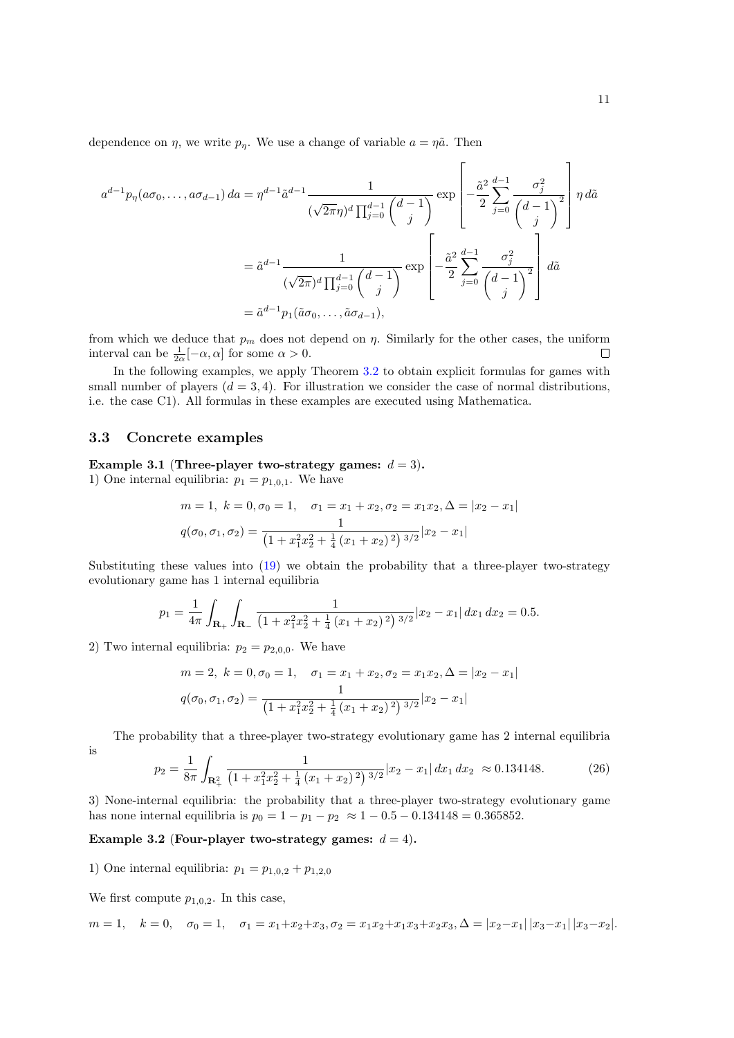dependence on  $\eta$ , we write  $p_{\eta}$ . We use a change of variable  $a = \eta \tilde{a}$ . Then

$$
a^{d-1}p_{\eta}(a\sigma_{0},...,a\sigma_{d-1}) da = \eta^{d-1}\tilde{a}^{d-1} \frac{1}{(\sqrt{2\pi}\eta)^{d} \prod_{j=0}^{d-1} {d-1 \choose j}} \exp\left[ -\frac{\tilde{a}^{2}}{2} \sum_{j=0}^{d-1} \frac{\sigma_{j}^{2}}{\left(d-1\right)^{2}} \right] \eta d\tilde{a}
$$
  

$$
= \tilde{a}^{d-1} \frac{1}{(\sqrt{2\pi})^{d} \prod_{j=0}^{d-1} {d-1 \choose j}} \exp\left[ -\frac{\tilde{a}^{2}}{2} \sum_{j=0}^{d-1} \frac{\sigma_{j}^{2}}{\left(d-1\right)^{2}} \right] d\tilde{a}
$$
  

$$
= \tilde{a}^{d-1} p_{1}(\tilde{a}\sigma_{0},..., \tilde{a}\sigma_{d-1}),
$$

from which we deduce that  $p_m$  does not depend on  $\eta$ . Similarly for the other cases, the uniform interval can be  $\frac{1}{2\alpha}[-\alpha, \alpha]$  for some  $\alpha > 0$ .  $\Box$ 

In the following examples, we apply Theorem  $3.2$  to obtain explicit formulas for games with small number of players  $(d = 3, 4)$ . For illustration we consider the case of normal distributions, i.e. the case C1). All formulas in these examples are executed using Mathematica.

### 3.3 Concrete examples

#### Example 3.1 (Three-player two-strategy games:  $d = 3$ ).

1) One internal equilibria:  $p_1 = p_{1,0,1}$ . We have

$$
m = 1, \ k = 0, \sigma_0 = 1, \quad \sigma_1 = x_1 + x_2, \sigma_2 = x_1 x_2, \Delta = |x_2 - x_1|
$$

$$
q(\sigma_0, \sigma_1, \sigma_2) = \frac{1}{\left(1 + x_1^2 x_2^2 + \frac{1}{4}(x_1 + x_2)^2\right)^{3/2}} |x_2 - x_1|
$$

Substituting these values into [\(19\)](#page-6-0) we obtain the probability that a three-player two-strategy evolutionary game has 1 internal equilibria

$$
p_1 = \frac{1}{4\pi} \int_{\mathbf{R}_+} \int_{\mathbf{R}_-} \frac{1}{\left(1 + x_1^2 x_2^2 + \frac{1}{4} \left(x_1 + x_2\right)^2\right)^{3/2}} |x_2 - x_1| \, dx_1 \, dx_2 = 0.5.
$$

2) Two internal equilibria:  $p_2 = p_{2,0,0}$ . We have

$$
m = 2, \ k = 0, \sigma_0 = 1, \quad \sigma_1 = x_1 + x_2, \sigma_2 = x_1 x_2, \Delta = |x_2 - x_1|
$$

$$
q(\sigma_0, \sigma_1, \sigma_2) = \frac{1}{\left(1 + x_1^2 x_2^2 + \frac{1}{4}(x_1 + x_2)^2\right)^{3/2}} |x_2 - x_1|
$$

The probability that a three-player two-strategy evolutionary game has 2 internal equilibria

$$
\frac{1}{2}
$$

$$
p_2 = \frac{1}{8\pi} \int_{\mathbf{R}_+^2} \frac{1}{\left(1 + x_1^2 x_2^2 + \frac{1}{4} \left(x_1 + x_2\right)^2\right)^{3/2}} |x_2 - x_1| \, dx_1 \, dx_2 \approx 0.134148. \tag{26}
$$

3) None-internal equilibria: the probability that a three-player two-strategy evolutionary game has none internal equilibria is  $p_0 = 1 - p_1 - p_2 \approx 1 - 0.5 - 0.134148 = 0.365852$ .

#### Example 3.2 (Four-player two-strategy games:  $d = 4$ ).

1) One internal equilibria:  $p_1 = p_{1,0,2} + p_{1,2,0}$ 

We first compute  $p_{1,0,2}$ . In this case,

$$
m=1, \quad k=0, \quad \sigma_0=1, \quad \sigma_1=x_1+x_2+x_3, \sigma_2=x_1x_2+x_1x_3+x_2x_3, \Delta=|x_2-x_1|\,|x_3-x_1|\,|x_3-x_2|.
$$

 $\mathbf{I}$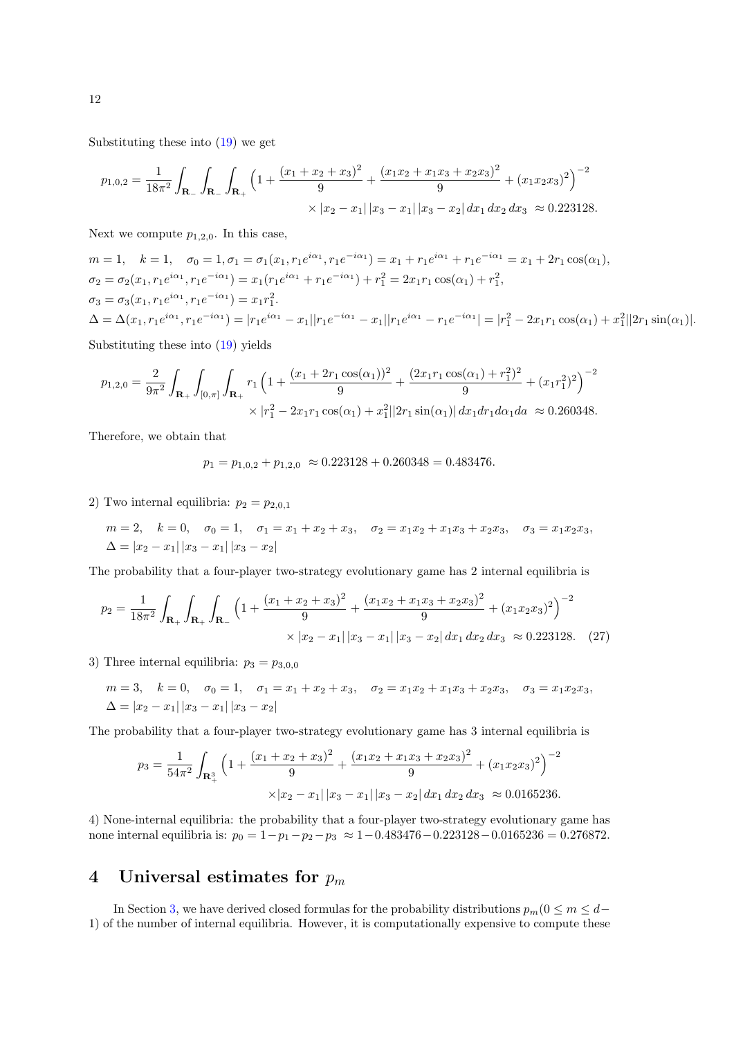Substituting these into [\(19\)](#page-6-0) we get

$$
p_{1,0,2} = \frac{1}{18\pi^2} \int_{\mathbf{R}_-} \int_{\mathbf{R}_+} \int_{\mathbf{R}_+} \left( 1 + \frac{(x_1 + x_2 + x_3)^2}{9} + \frac{(x_1x_2 + x_1x_3 + x_2x_3)^2}{9} + (x_1x_2x_3)^2 \right)^{-2} \times |x_2 - x_1| |x_3 - x_1| |x_3 - x_2| dx_1 dx_2 dx_3 \approx 0.223128.
$$

Next we compute  $p_{1,2,0}$ . In this case,

$$
m = 1, \quad k = 1, \quad \sigma_0 = 1, \sigma_1 = \sigma_1(x_1, r_1 e^{i\alpha_1}, r_1 e^{-i\alpha_1}) = x_1 + r_1 e^{i\alpha_1} + r_1 e^{-i\alpha_1} = x_1 + 2r_1 \cos(\alpha_1),
$$
  
\n
$$
\sigma_2 = \sigma_2(x_1, r_1 e^{i\alpha_1}, r_1 e^{-i\alpha_1}) = x_1 (r_1 e^{i\alpha_1} + r_1 e^{-i\alpha_1}) + r_1^2 = 2x_1 r_1 \cos(\alpha_1) + r_1^2,
$$
  
\n
$$
\sigma_3 = \sigma_3(x_1, r_1 e^{i\alpha_1}, r_1 e^{-i\alpha_1}) = x_1 r_1^2.
$$
  
\n
$$
\Delta = \Delta(x_1, r_1 e^{i\alpha_1}, r_1 e^{-i\alpha_1}) = |r_1 e^{i\alpha_1} - x_1||r_1 e^{-i\alpha_1} - x_1||r_1 e^{i\alpha_1} - r_1 e^{-i\alpha_1}| = |r_1^2 - 2x_1 r_1 \cos(\alpha_1) + x_1^2||2r_1 \sin(\alpha_1)|.
$$

Substituting these into [\(19\)](#page-6-0) yields

$$
p_{1,2,0} = \frac{2}{9\pi^2} \int_{\mathbf{R}_+} \int_{[0,\pi]} \int_{\mathbf{R}_+} r_1 \left( 1 + \frac{(x_1 + 2r_1 \cos(\alpha_1))^2}{9} + \frac{(2x_1r_1 \cos(\alpha_1) + r_1^2)^2}{9} + (x_1r_1^2)^2 \right)^{-2} \times |r_1^2 - 2x_1r_1 \cos(\alpha_1) + x_1^2||2r_1 \sin(\alpha_1)| dx_1 dr_1 d\alpha_1 d\alpha \approx 0.260348.
$$

Therefore, we obtain that

$$
p_1 = p_{1,0,2} + p_{1,2,0} \approx 0.223128 + 0.260348 = 0.483476.
$$

2) Two internal equilibria:  $p_2 = p_{2,0,1}$ 

$$
m = 2, \quad k = 0, \quad \sigma_0 = 1, \quad \sigma_1 = x_1 + x_2 + x_3, \quad \sigma_2 = x_1 x_2 + x_1 x_3 + x_2 x_3, \quad \sigma_3 = x_1 x_2 x_3,
$$
  

$$
\Delta = |x_2 - x_1| |x_3 - x_1| |x_3 - x_2|
$$

The probability that a four-player two-strategy evolutionary game has 2 internal equilibria is

$$
p_2 = \frac{1}{18\pi^2} \int_{\mathbf{R}_+} \int_{\mathbf{R}_+} \int_{\mathbf{R}_-} \left( 1 + \frac{(x_1 + x_2 + x_3)^2}{9} + \frac{(x_1x_2 + x_1x_3 + x_2x_3)^2}{9} + (x_1x_2x_3)^2 \right)^{-2} \times |x_2 - x_1| \, |x_3 - x_1| \, |x_3 - x_2| \, dx_1 \, dx_2 \, dx_3 \approx 0.223128. \tag{27}
$$

3) Three internal equilibria:  $p_3 = p_{3,0,0}$ 

$$
m = 3, \quad k = 0, \quad \sigma_0 = 1, \quad \sigma_1 = x_1 + x_2 + x_3, \quad \sigma_2 = x_1 x_2 + x_1 x_3 + x_2 x_3, \quad \sigma_3 = x_1 x_2 x_3, \Delta = |x_2 - x_1| |x_3 - x_1| |x_3 - x_2|
$$

The probability that a four-player two-strategy evolutionary game has 3 internal equilibria is

$$
p_3 = \frac{1}{54\pi^2} \int_{\mathbf{R}_+^3} \left( 1 + \frac{(x_1 + x_2 + x_3)^2}{9} + \frac{(x_1x_2 + x_1x_3 + x_2x_3)^2}{9} + (x_1x_2x_3)^2 \right)^{-2}
$$
  
 
$$
\times |x_2 - x_1| |x_3 - x_1| |x_3 - x_2| dx_1 dx_2 dx_3 \approx 0.0165236.
$$

4) None-internal equilibria: the probability that a four-player two-strategy evolutionary game has none internal equilibria is:  $p_0 = 1-p_1-p_2-p_3 \approx 1-0.483476-0.223128-0.0165236 = 0.276872$ .

## <span id="page-11-0"></span>4 Universal estimates for  $p_m$

In Section [3,](#page-3-1) we have derived closed formulas for the probability distributions  $p_m(0 \le m \le d-$ 1) of the number of internal equilibria. However, it is computationally expensive to compute these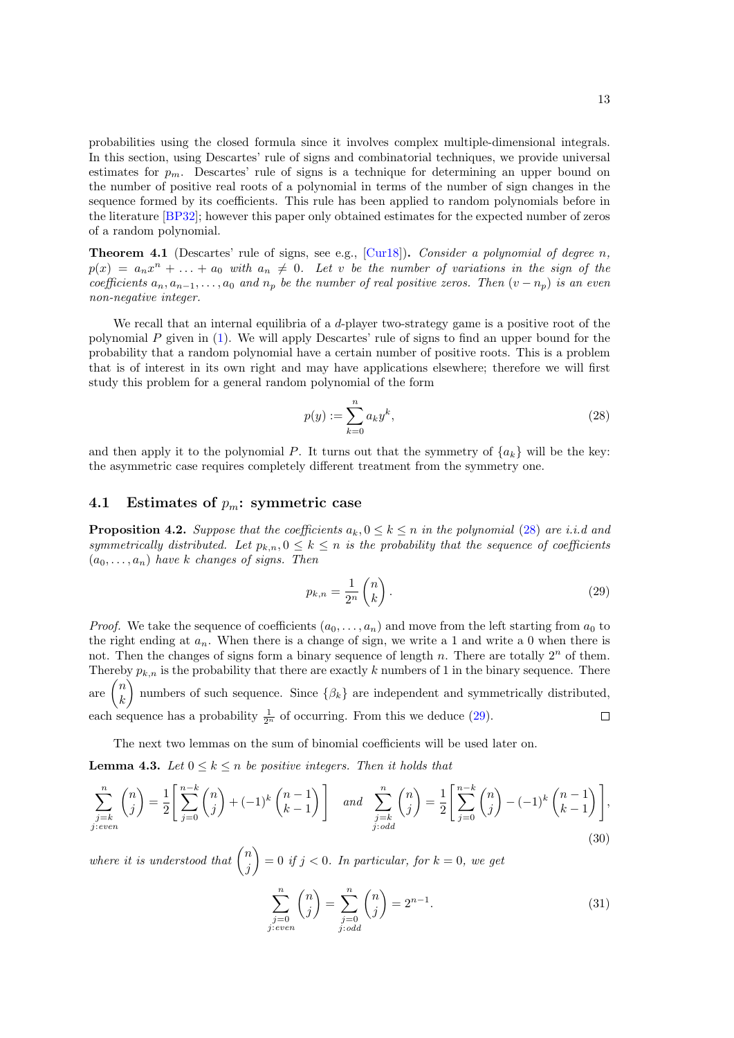probabilities using the closed formula since it involves complex multiple-dimensional integrals. In this section, using Descartes' rule of signs and combinatorial techniques, we provide universal estimates for  $p_m$ . Descartes' rule of signs is a technique for determining an upper bound on the number of positive real roots of a polynomial in terms of the number of sign changes in the sequence formed by its coefficients. This rule has been applied to random polynomials before in the literature [\[BP32\]](#page-28-16); however this paper only obtained estimates for the expected number of zeros of a random polynomial.

**Theorem 4.1** (Descartes' rule of signs, see e.g., [\[Cur18\]](#page-28-17)). Consider a polynomial of degree n,  $p(x) = a_n x^n + \ldots + a_0$  with  $a_n \neq 0$ . Let v be the number of variations in the sign of the coefficients  $a_n, a_{n-1}, \ldots, a_0$  and  $n_p$  be the number of real positive zeros. Then  $(v - n_p)$  is an even non-negative integer.

We recall that an internal equilibria of a  $d$ -player two-strategy game is a positive root of the polynomial  $P$  given in  $(1)$ . We will apply Descartes' rule of signs to find an upper bound for the probability that a random polynomial have a certain number of positive roots. This is a problem that is of interest in its own right and may have applications elsewhere; therefore we will first study this problem for a general random polynomial of the form

<span id="page-12-0"></span>
$$
p(y) := \sum_{k=0}^{n} a_k y^k,
$$
\n(28)

and then apply it to the polynomial P. It turns out that the symmetry of  ${a_k}$  will be the key: the asymmetric case requires completely different treatment from the symmetry one.

#### 4.1 Estimates of  $p_m$ : symmetric case

<span id="page-12-2"></span>**Proposition 4.2.** Suppose that the coefficients  $a_k, 0 \leq k \leq n$  in the polynomial [\(28\)](#page-12-0) are i.i.d and symmetrically distributed. Let  $p_{k,n}, 0 \leq k \leq n$  is the probability that the sequence of coefficients  $(a_0, \ldots, a_n)$  have k changes of signs. Then

<span id="page-12-1"></span>
$$
p_{k,n} = \frac{1}{2^n} \begin{pmatrix} n \\ k \end{pmatrix} . \tag{29}
$$

*Proof.* We take the sequence of coefficients  $(a_0, \ldots, a_n)$  and move from the left starting from  $a_0$  to the right ending at  $a_n$ . When there is a change of sign, we write a 1 and write a 0 when there is not. Then the changes of signs form a binary sequence of length n. There are totally  $2<sup>n</sup>$  of them. Thereby  $p_{k,n}$  is the probability that there are exactly k numbers of 1 in the binary sequence. There are  $\binom{n}{k}$ ) numbers of such sequence. Since  $\{\beta_k\}$  are independent and symmetrically distributed, k each sequence has a probability  $\frac{1}{2^n}$  of occurring. From this we deduce [\(29\)](#page-12-1).  $\Box$ 

The next two lemmas on the sum of binomial coefficients will be used later on.

<span id="page-12-3"></span>**Lemma 4.3.** Let  $0 \leq k \leq n$  be positive integers. Then it holds that

$$
\sum_{\substack{j=k \ j: even}}^n \binom{n}{j} = \frac{1}{2} \left[ \sum_{j=0}^{n-k} \binom{n}{j} + (-1)^k \binom{n-1}{k-1} \right] \quad \text{and} \quad \sum_{\substack{j=k \ j: odd}}^n \binom{n}{j} = \frac{1}{2} \left[ \sum_{j=0}^{n-k} \binom{n}{j} - (-1)^k \binom{n-1}{k-1} \right],\tag{30}
$$

where it is understood that  $\binom{n}{i}$ j  $\Big) = 0$  if  $j < 0$ . In particular, for  $k = 0$ , we get

<span id="page-12-4"></span>
$$
\sum_{\substack{j=0 \ j: even}}^{n} \binom{n}{j} = \sum_{\substack{j=0 \ j: odd}}^{n} \binom{n}{j} = 2^{n-1}.
$$
\n(31)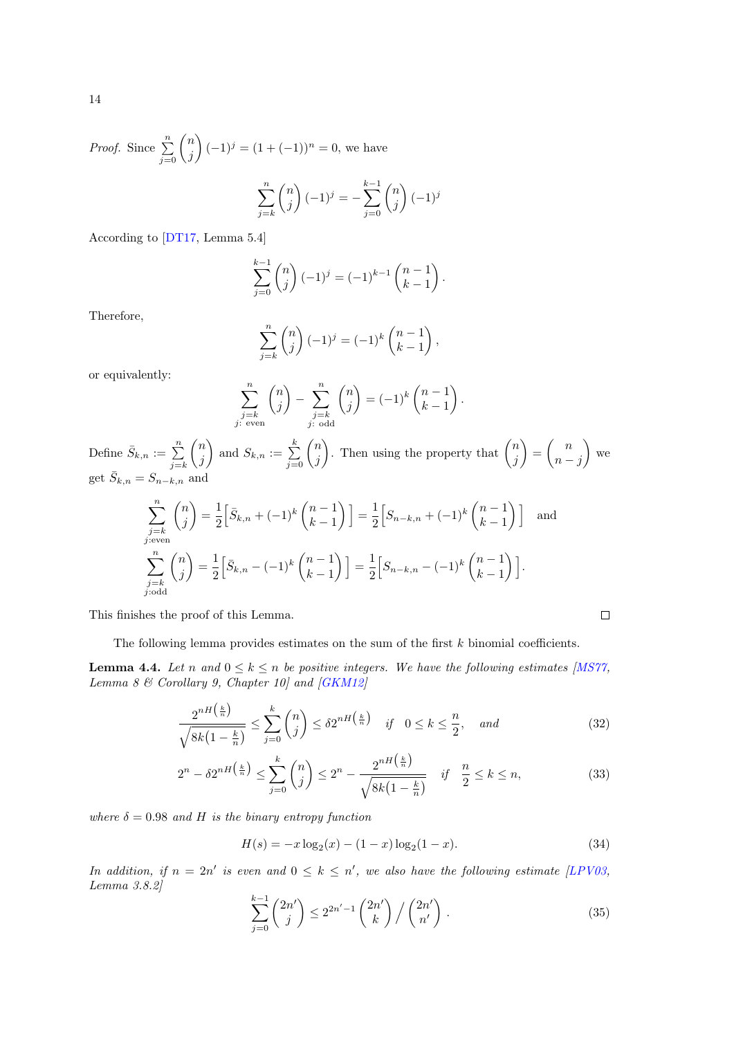*Proof.* Since 
$$
\sum_{j=0}^{n} {n \choose j} (-1)^{j} = (1 + (-1))^{n} = 0
$$
, we have  

$$
\sum_{j=k}^{n} {n \choose j} (-1)^{j} = -\sum_{j=0}^{k-1} {n \choose j} (-1)^{j}
$$

According to [\[DT17,](#page-28-18) Lemma 5.4]

$$
\sum_{j=0}^{k-1} \binom{n}{j} (-1)^j = (-1)^{k-1} \binom{n-1}{k-1}.
$$

Therefore,

$$
\sum_{j=k}^{n} {n \choose j} (-1)^{j} = (-1)^{k} {n-1 \choose k-1},
$$

or equivalently:

$$
\sum_{\substack{j=k \ j \text{ even}}}^n \binom{n}{j} - \sum_{\substack{j=k \ j \text{ odd}}}^n \binom{n}{j} = (-1)^k \binom{n-1}{k-1}.
$$

Define  $\bar{S}_{k,n} := \sum_{j=k}^{n}$  $\sqrt{n}$ j and  $S_{k,n} := \sum_{j=0}^{k} \binom{n}{j}$ j ). Then using the property that  $\binom{n}{i}$ j  $\binom{n}{n} = \binom{n}{n}$  $n - j$  $\big)$  we get  $\overline{S}_{k,n} = S_{n-k,n}$  and

$$
\sum_{\substack{j=k \ j \text{even}}}^{n} \binom{n}{j} = \frac{1}{2} \Big[ \bar{S}_{k,n} + (-1)^k \binom{n-1}{k-1} \Big] = \frac{1}{2} \Big[ S_{n-k,n} + (-1)^k \binom{n-1}{k-1} \Big] \text{ and}
$$
  

$$
\sum_{\substack{j=k \ j \text{odd}}}^{n} \binom{n}{j} = \frac{1}{2} \Big[ \bar{S}_{k,n} - (-1)^k \binom{n-1}{k-1} \Big] = \frac{1}{2} \Big[ S_{n-k,n} - (-1)^k \binom{n-1}{k-1} \Big].
$$

This finishes the proof of this Lemma.

The following lemma provides estimates on the sum of the first  $k$  binomial coefficients.

<span id="page-13-0"></span>**Lemma 4.4.** Let n and  $0 \le k \le n$  be positive integers. We have the following estimates [\[MS77,](#page-29-17) Lemma 8  $\mathcal C$  Corollary 9, Chapter 10] and [\[GKM12\]](#page-28-19)

$$
\frac{2^{nH\left(\frac{k}{n}\right)}}{\sqrt{8k\left(1-\frac{k}{n}\right)}} \le \sum_{j=0}^{k} \binom{n}{j} \le \delta 2^{nH\left(\frac{k}{n}\right)} \quad \text{if} \quad 0 \le k \le \frac{n}{2}, \quad \text{and} \tag{32}
$$

$$
2^{n} - \delta 2^{nH\left(\frac{k}{n}\right)} \le \sum_{j=0}^{k} \binom{n}{j} \le 2^{n} - \frac{2^{nH\left(\frac{k}{n}\right)}}{\sqrt{8k(1 - \frac{k}{n})}} \quad \text{if} \quad \frac{n}{2} \le k \le n,\tag{33}
$$

where  $\delta = 0.98$  and H is the binary entropy function

$$
H(s) = -x \log_2(x) - (1 - x) \log_2(1 - x).
$$
 (34)

 $\Box$ 

In addition, if  $n = 2n'$  is even and  $0 \leq k \leq n'$ , we also have the following estimate [\[LPV03,](#page-29-18) Lemma 3.8.2]

<span id="page-13-1"></span>
$$
\sum_{j=0}^{k-1} {2n' \choose j} \le 2^{2n'-1} {2n' \choose k} / {2n' \choose n'}.
$$
\n(35)

14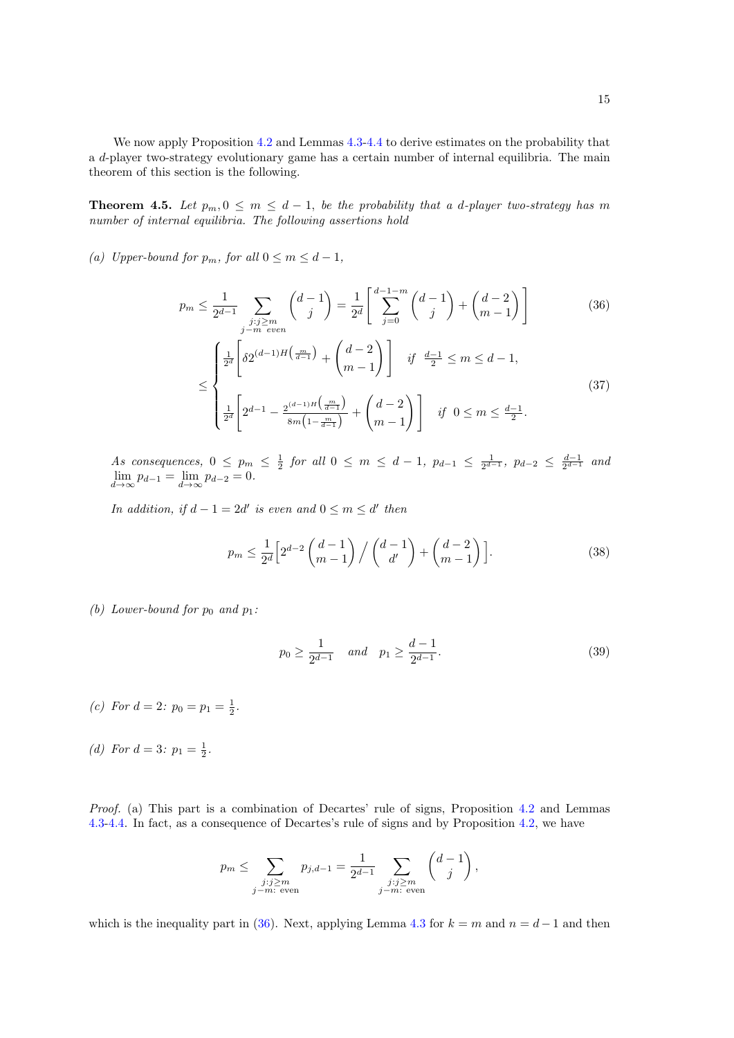We now apply Proposition [4.2](#page-12-2) and Lemmas  $4.3-4.4$  $4.3-4.4$  to derive estimates on the probability that a d-player two-strategy evolutionary game has a certain number of internal equilibria. The main theorem of this section is the following.

<span id="page-14-3"></span>**Theorem 4.5.** Let  $p_m, 0 \leq m \leq d-1$ , be the probability that a d-player two-strategy has m number of internal equilibria. The following assertions hold

(a) Upper-bound for  $p_m$ , for all  $0 \le m \le d-1$ ,

$$
p_m \le \frac{1}{2^{d-1}} \sum_{\substack{j:j \ge m \\ j-m \ even}} \binom{d-1}{j} = \frac{1}{2^d} \left[ \sum_{j=0}^{d-1-m} \binom{d-1}{j} + \binom{d-2}{m-1} \right] \tag{36}
$$

<span id="page-14-1"></span><span id="page-14-0"></span>
$$
\leq \begin{cases} \frac{1}{2^d} \left[ \delta 2^{(d-1)H\left(\frac{m}{d-1}\right)} + \binom{d-2}{m-1} \right] & \text{if } \frac{d-1}{2} \leq m \leq d-1, \\ \\ \frac{1}{2^d} \left[ 2^{d-1} - \frac{2^{(d-1)H\left(\frac{m}{d-1}\right)}}{8m\left(1 - \frac{m}{d-1}\right)} + \binom{d-2}{m-1} \right] & \text{if } 0 \leq m \leq \frac{d-1}{2}. \end{cases} \tag{37}
$$

As consequences,  $0 \leq p_m \leq \frac{1}{2}$  for all  $0 \leq m \leq d-1$ ,  $p_{d-1} \leq \frac{1}{2^{d-1}}$ ,  $p_{d-2} \leq \frac{d-1}{2^{d-1}}$  and  $\lim_{d \to \infty} p_{d-1} = \lim_{d \to \infty} p_{d-2} = 0.$ 

In addition, if  $d - 1 = 2d'$  is even and  $0 \le m \le d'$  then

<span id="page-14-2"></span>
$$
p_m \le \frac{1}{2^d} \left[ 2^{d-2} \binom{d-1}{m-1} / \binom{d-1}{d'} + \binom{d-2}{m-1} \right].
$$
 (38)

(b) Lower-bound for  $p_0$  and  $p_1$ :

$$
p_0 \ge \frac{1}{2^{d-1}}
$$
 and  $p_1 \ge \frac{d-1}{2^{d-1}}$ . (39)

- (c) For  $d = 2$ :  $p_0 = p_1 = \frac{1}{2}$ .
- (d) For  $d = 3: p_1 = \frac{1}{2}$ .

Proof. (a) This part is a combination of Decartes' rule of signs, Proposition [4.2](#page-12-2) and Lemmas [4.3-](#page-12-3)[4.4.](#page-13-0) In fact, as a consequence of Decartes's rule of signs and by Proposition [4.2,](#page-12-2) we have

$$
p_m \leq \sum_{\substack{j:j \geq m \\ j-m: \text{ even}}} p_{j,d-1} = \frac{1}{2^{d-1}} \sum_{\substack{j:j \geq m \\ j-m: \text{ even}}} \binom{d-1}{j},
$$

which is the inequality part in [\(36\)](#page-14-0). Next, applying Lemma [4.3](#page-12-3) for  $k = m$  and  $n = d - 1$  and then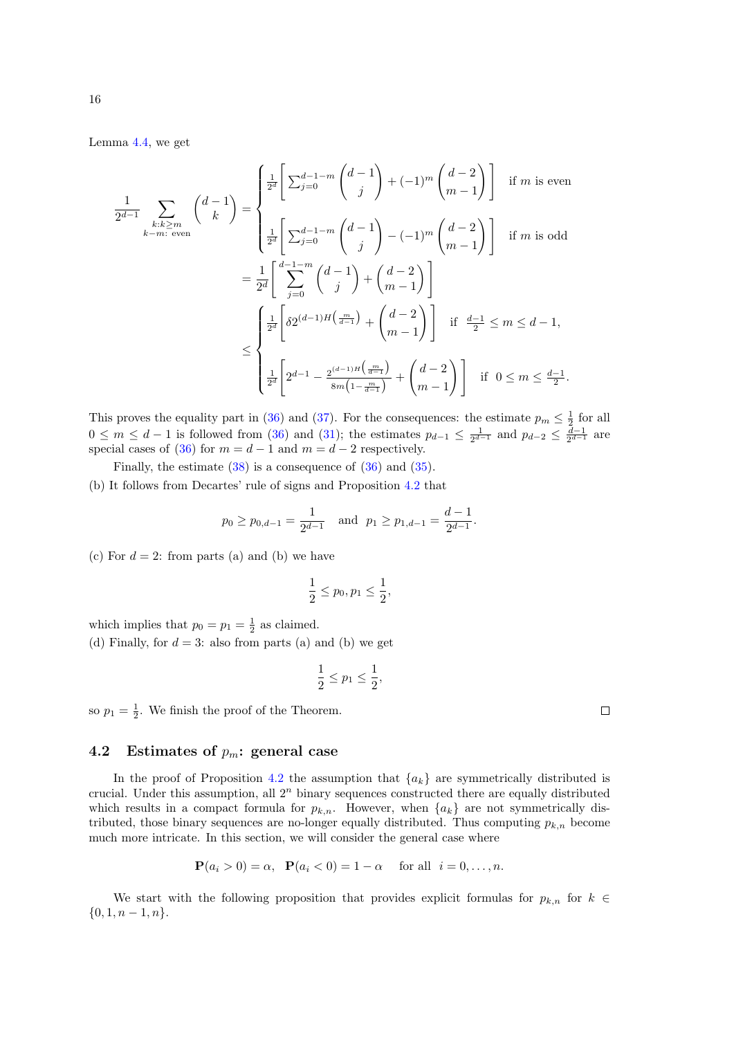Lemma [4.4,](#page-13-0) we get

$$
\frac{1}{2^{d-1}} \sum_{\substack{k:k \ge m \\ k-m: \text{ even}}} \binom{d-1}{k} = \begin{cases} \frac{1}{2^d} \left[ \sum_{j=0}^{d-1-m} \binom{d-1}{j} + (-1)^m \binom{d-2}{m-1} \right] & \text{if } m \text{ is even} \\ \\ \frac{1}{2^d} \left[ \sum_{j=0}^{d-1-m} \binom{d-1}{j} - (-1)^m \binom{d-2}{m-1} \right] & \text{if } m \text{ is odd} \end{cases}
$$

$$
= \frac{1}{2^d} \left[ \sum_{j=0}^{d-1-m} \binom{d-1}{j} + \binom{d-2}{m-1} \right]
$$

$$
\leq \begin{cases} \frac{1}{2^d} \left[ \delta 2^{(d-1)H\left(\frac{m}{d-1}\right)} + \binom{d-2}{m-1} \right] & \text{if } \frac{d-1}{2} \le m \le d-1, \\ \\ \frac{1}{2^d} \left[ 2^{d-1} - \frac{2^{(d-1)H\left(\frac{m}{d-1}\right)}}{8m \left(1 - \frac{m}{d-1}\right)} + \binom{d-2}{m-1} \right] & \text{if } 0 \le m \le \frac{d-1}{2}. \end{cases}
$$

This proves the equality part in [\(36\)](#page-14-0) and [\(37\)](#page-14-1). For the consequences: the estimate  $p_m \leq \frac{1}{2}$  for all  $0 \leq m \leq d-1$  is followed from [\(36\)](#page-14-0) and [\(31\)](#page-12-4); the estimates  $p_{d-1} \leq \frac{1}{2^{d-1}}$  and  $p_{d-2} \leq \frac{d-1}{2^{d-1}}$  are special cases of [\(36\)](#page-14-0) for  $m = d - 1$  and  $m = d - 2$  respectively.

Finally, the estimate [\(38\)](#page-14-2) is a consequence of [\(36\)](#page-14-0) and [\(35\)](#page-13-1).

(b) It follows from Decartes' rule of signs and Proposition [4.2](#page-12-2) that

$$
p_0 \ge p_{0,d-1} = \frac{1}{2^{d-1}}
$$
 and  $p_1 \ge p_{1,d-1} = \frac{d-1}{2^{d-1}}$ .

(c) For  $d = 2$ : from parts (a) and (b) we have

$$
\frac{1}{2} \le p_0, p_1 \le \frac{1}{2},
$$

which implies that  $p_0 = p_1 = \frac{1}{2}$  as claimed.

(d) Finally, for  $d = 3$ : also from parts (a) and (b) we get

$$
\frac{1}{2} \le p_1 \le \frac{1}{2},
$$

so  $p_1 = \frac{1}{2}$ . We finish the proof of the Theorem.

### 4.2 Estimates of  $p_m$ : general case

In the proof of Proposition [4.2](#page-12-2) the assumption that  ${a_k}$  are symmetrically distributed is crucial. Under this assumption, all  $2<sup>n</sup>$  binary sequences constructed there are equally distributed which results in a compact formula for  $p_{k,n}$ . However, when  $\{a_k\}$  are not symmetrically distributed, those binary sequences are no-longer equally distributed. Thus computing  $p_{k,n}$  become much more intricate. In this section, we will consider the general case where

$$
\mathbf{P}(a_i > 0) = \alpha, \ \ \mathbf{P}(a_i < 0) = 1 - \alpha \quad \text{for all} \ \ i = 0, \dots, n.
$$

We start with the following proposition that provides explicit formulas for  $p_{k,n}$  for  $k \in$  $\{0, 1, n-1, n\}.$ 

 $\Box$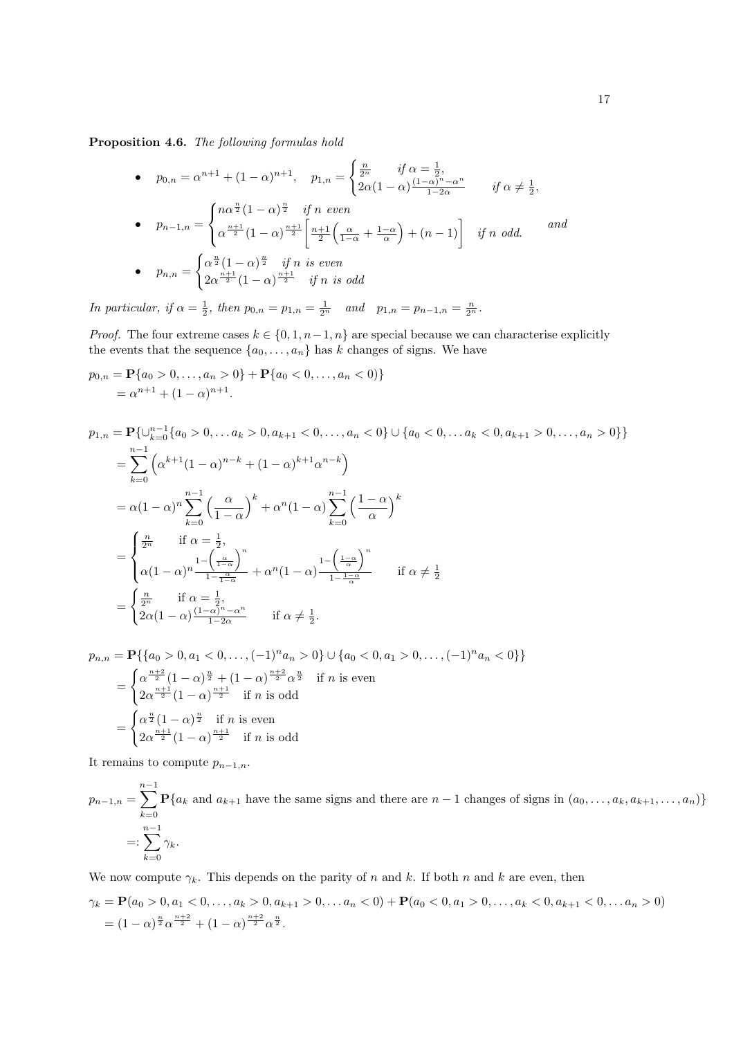<span id="page-16-0"></span>Proposition 4.6. The following formulas hold

• 
$$
p_{0,n} = \alpha^{n+1} + (1 - \alpha)^{n+1}, \quad p_{1,n} = \begin{cases} \frac{n}{2^n} & \text{if } \alpha = \frac{1}{2}, \\ 2\alpha(1 - \alpha)\frac{(1 - \alpha)^n - \alpha^n}{1 - 2\alpha} & \text{if } \alpha \neq \frac{1}{2}, \end{cases}
$$
  
\n•  $p_{n-1,n} = \begin{cases} n\alpha^{\frac{n}{2}}(1 - \alpha)^{\frac{n}{2}} & \text{if } n \text{ even} \\ \alpha^{\frac{n+1}{2}}(1 - \alpha)^{\frac{n+1}{2}} \left[ \frac{n+1}{2} \left( \frac{\alpha}{1 - \alpha} + \frac{1 - \alpha}{\alpha} \right) + (n-1) \right] & \text{if } n \text{ odd.} \end{cases}$  and  
\n•  $p_{n,n} = \begin{cases} \alpha^{\frac{n}{2}}(1 - \alpha)^{\frac{n}{2}} & \text{if } n \text{ is even} \\ 2\alpha^{\frac{n+1}{2}}(1 - \alpha)^{\frac{n+1}{2}} & \text{if } n \text{ is odd} \end{cases}$ 

In particular, if  $\alpha = \frac{1}{2}$ , then  $p_{0,n} = p_{1,n} = \frac{1}{2^n}$  and  $p_{1,n} = p_{n-1,n} = \frac{n}{2^n}$ .

*Proof.* The four extreme cases  $k \in \{0, 1, n-1, n\}$  are special because we can characterise explicitly the events that the sequence  $\{a_0, \ldots, a_n\}$  has k changes of signs. We have

$$
p_{0,n} = \mathbf{P}\{a_0 > 0, \dots, a_n > 0\} + \mathbf{P}\{a_0 < 0, \dots, a_n < 0\}
$$
  
=  $\alpha^{n+1} + (1 - \alpha)^{n+1}$ .

$$
p_{1,n} = \mathbf{P}\{\cup_{k=0}^{n-1}\{a_0 > 0, \dots a_k > 0, a_{k+1} < 0, \dots, a_n < 0\} \cup \{a_0 < 0, \dots a_k < 0, a_{k+1} > 0, \dots, a_n > 0\}\}\
$$
  
\n
$$
= \sum_{k=0}^{n-1} \left(\alpha^{k+1}(1-\alpha)^{n-k} + (1-\alpha)^{k+1}\alpha^{n-k}\right)
$$
  
\n
$$
= \alpha(1-\alpha)^n \sum_{k=0}^{n-1} \left(\frac{\alpha}{1-\alpha}\right)^k + \alpha^n(1-\alpha) \sum_{k=0}^{n-1} \left(\frac{1-\alpha}{\alpha}\right)^k
$$
  
\n
$$
= \begin{cases} \frac{n}{2^n} & \text{if } \alpha = \frac{1}{2}, \\ \alpha(1-\alpha)^n \frac{1-\left(\frac{\alpha}{1-\alpha}\right)^n}{1-\frac{\alpha}{1-\alpha}} + \alpha^n(1-\alpha) \frac{1-\left(\frac{1-\alpha}{\alpha}\right)^n}{1-\frac{1-\alpha}{\alpha}} & \text{if } \alpha \neq \frac{1}{2} \end{cases}
$$
  
\n
$$
= \begin{cases} \frac{n}{2^n} & \text{if } \alpha = \frac{1}{2}, \\ 2\alpha(1-\alpha) \frac{(1-\alpha)^n - \alpha^n}{1-2\alpha} & \text{if } \alpha \neq \frac{1}{2}. \end{cases}
$$

$$
p_{n,n} = \mathbf{P}\{\{a_0 > 0, a_1 < 0, \dots, (-1)^n a_n > 0\} \cup \{a_0 < 0, a_1 > 0, \dots, (-1)^n a_n < 0\}\}
$$
  
= 
$$
\begin{cases} \alpha^{\frac{n+2}{2}}(1-\alpha)^{\frac{n}{2}} + (1-\alpha)^{\frac{n+2}{2}}\alpha^{\frac{n}{2}} & \text{if } n \text{ is even} \\ 2\alpha^{\frac{n+1}{2}}(1-\alpha)^{\frac{n+1}{2}} & \text{if } n \text{ is odd} \end{cases}
$$
  
= 
$$
\begin{cases} \alpha^{\frac{n}{2}}(1-\alpha)^{\frac{n}{2}} & \text{if } n \text{ is even} \\ 2\alpha^{\frac{n+1}{2}}(1-\alpha)^{\frac{n+1}{2}} & \text{if } n \text{ is odd} \end{cases}
$$

It remains to compute  $p_{n-1,n}$ .

 $p_{n-1,n} =$  $\sum^{n-1}$  $k=0$  $\mathbf{P}\{a_k \text{ and } a_{k+1} \text{ have the same signs and there are } n-1 \text{ changes of signs in } (a_0, \ldots, a_k, a_{k+1}, \ldots, a_n)\}\$ =:  $\sum^{n-1}$  $k=0$  $\gamma_k$ .

We now compute  $\gamma_k$ . This depends on the parity of n and k. If both n and k are even, then

$$
\gamma_k = \mathbf{P}(a_0 > 0, a_1 < 0, \dots, a_k > 0, a_{k+1} > 0, \dots, a_n < 0) + \mathbf{P}(a_0 < 0, a_1 > 0, \dots, a_k < 0, a_{k+1} < 0, \dots, a_n > 0)
$$
  
=  $(1 - \alpha)^{\frac{n}{2}} \alpha^{\frac{n+2}{2}} + (1 - \alpha)^{\frac{n+2}{2}} \alpha^{\frac{n}{2}}.$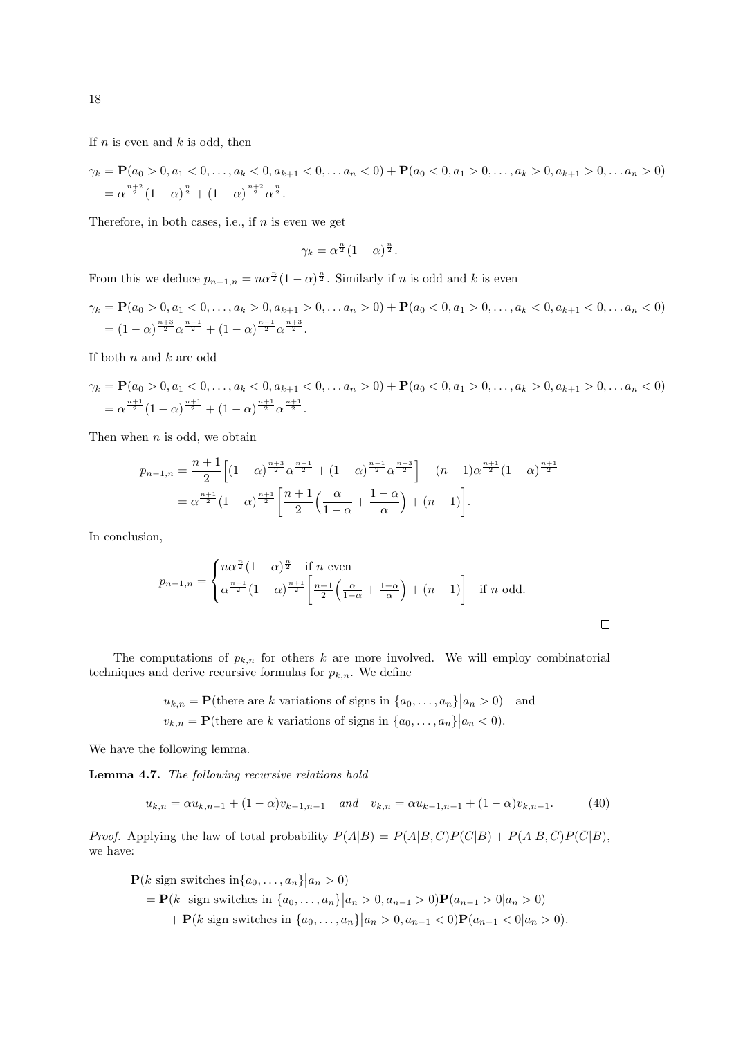If  $n$  is even and  $k$  is odd, then

$$
\gamma_k = \mathbf{P}(a_0 > 0, a_1 < 0, \dots, a_k < 0, a_{k+1} < 0, \dots, a_n < 0) + \mathbf{P}(a_0 < 0, a_1 > 0, \dots, a_k > 0, a_{k+1} > 0, \dots, a_n > 0)
$$
  
=  $\alpha^{\frac{n+2}{2}} (1 - \alpha)^{\frac{n}{2}} + (1 - \alpha)^{\frac{n+2}{2}} \alpha^{\frac{n}{2}}.$ 

Therefore, in both cases, i.e., if  $n$  is even we get

$$
\gamma_k = \alpha^{\frac{n}{2}} (1 - \alpha)^{\frac{n}{2}}.
$$

From this we deduce  $p_{n-1,n} = n\alpha^{\frac{n}{2}}(1-\alpha)^{\frac{n}{2}}$ . Similarly if n is odd and k is even

$$
\gamma_k = \mathbf{P}(a_0 > 0, a_1 < 0, \dots, a_k > 0, a_{k+1} > 0, \dots, a_n > 0) + \mathbf{P}(a_0 < 0, a_1 > 0, \dots, a_k < 0, a_{k+1} < 0, \dots, a_n < 0)
$$
  
=  $(1 - \alpha)^{\frac{n+3}{2}} \alpha^{\frac{n-1}{2}} + (1 - \alpha)^{\frac{n-1}{2}} \alpha^{\frac{n+3}{2}}.$ 

If both  $n$  and  $k$  are odd

$$
\gamma_k = \mathbf{P}(a_0 > 0, a_1 < 0, \dots, a_k < 0, a_{k+1} < 0, \dots, a_n > 0) + \mathbf{P}(a_0 < 0, a_1 > 0, \dots, a_k > 0, a_{k+1} > 0, \dots, a_n < 0)
$$
  
=  $\alpha^{\frac{n+1}{2}} (1 - \alpha)^{\frac{n+1}{2}} + (1 - \alpha)^{\frac{n+1}{2}} \alpha^{\frac{n+1}{2}}.$ 

Then when  $n$  is odd, we obtain

$$
p_{n-1,n} = \frac{n+1}{2} \left[ (1-\alpha)^{\frac{n+3}{2}} \alpha^{\frac{n-1}{2}} + (1-\alpha)^{\frac{n-1}{2}} \alpha^{\frac{n+3}{2}} \right] + (n-1) \alpha^{\frac{n+1}{2}} (1-\alpha)^{\frac{n+1}{2}}
$$
  
=  $\alpha^{\frac{n+1}{2}} (1-\alpha)^{\frac{n+1}{2}} \left[ \frac{n+1}{2} \left( \frac{\alpha}{1-\alpha} + \frac{1-\alpha}{\alpha} \right) + (n-1) \right].$ 

In conclusion,

$$
p_{n-1,n} = \begin{cases} n\alpha^{\frac{n}{2}}(1-\alpha)^{\frac{n}{2}} & \text{if } n \text{ even} \\ \alpha^{\frac{n+1}{2}}(1-\alpha)^{\frac{n+1}{2}} \left[ \frac{n+1}{2} \left( \frac{\alpha}{1-\alpha} + \frac{1-\alpha}{\alpha} \right) + (n-1) \right] & \text{if } n \text{ odd.} \end{cases}
$$

 $\Box$ 

The computations of  $p_{k,n}$  for others k are more involved. We will employ combinatorial techniques and derive recursive formulas for  $p_{k,n}$ . We define

> $u_{k,n} = \mathbf{P}(\text{there are } k \text{ variations of signs in } \{a_0, \ldots, a_n\} | a_n > 0)$  and  $v_{k,n} = \mathbf{P}(\text{there are } k \text{ variations of signs in } \{a_0, \ldots, a_n\} | a_n < 0).$

We have the following lemma.

<span id="page-17-1"></span>Lemma 4.7. The following recursive relations hold

<span id="page-17-0"></span>
$$
u_{k,n} = \alpha u_{k,n-1} + (1 - \alpha)v_{k-1,n-1} \quad \text{and} \quad v_{k,n} = \alpha u_{k-1,n-1} + (1 - \alpha)v_{k,n-1}.\tag{40}
$$

*Proof.* Applying the law of total probability  $P(A|B) = P(A|B, C)P(C|B) + P(A|B, \overline{C})P(\overline{C}|B)$ , we have:

$$
\mathbf{P}(k \text{ sign switches in } \{a_0, \dots, a_n\} | a_n > 0)
$$
  
=  $\mathbf{P}(k \text{ sign switches in } \{a_0, \dots, a_n\} | a_n > 0, a_{n-1} > 0)\mathbf{P}(a_{n-1} > 0 | a_n > 0)$   
+  $\mathbf{P}(k \text{ sign switches in } \{a_0, \dots, a_n\} | a_n > 0, a_{n-1} < 0)\mathbf{P}(a_{n-1} < 0 | a_n > 0).$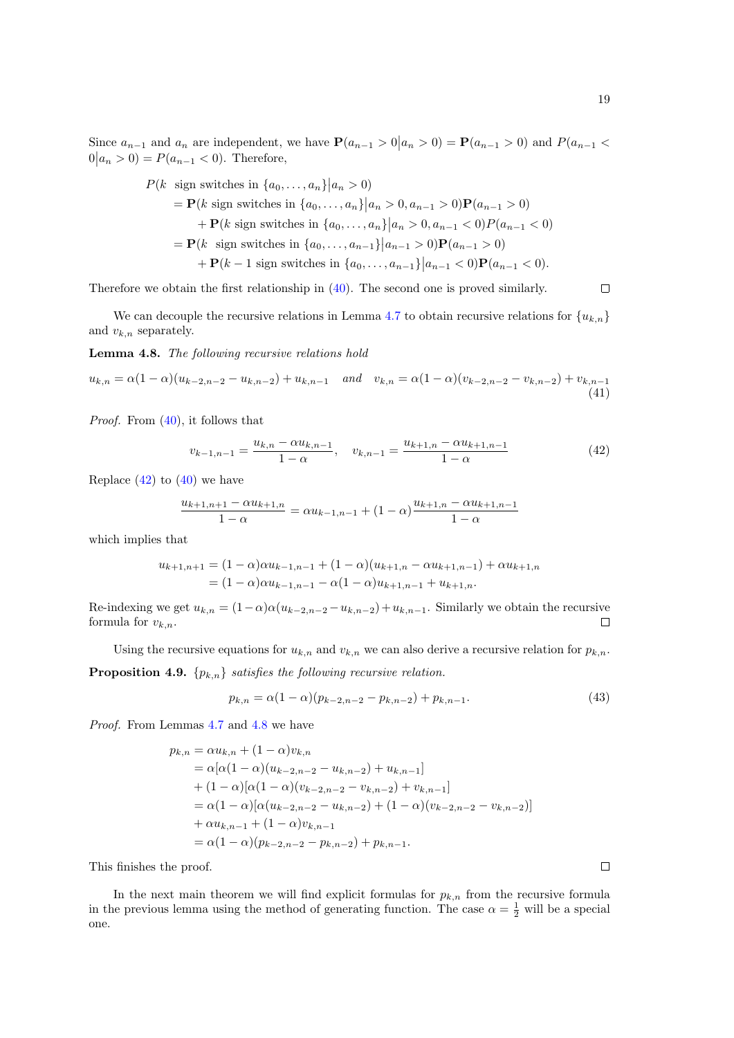Since  $a_{n-1}$  and  $a_n$  are independent, we have  $\mathbf{P}(a_{n-1} > 0 | a_n > 0) = \mathbf{P}(a_{n-1} > 0)$  and  $P(a_{n-1} < a_n > 0)$  $0|a_n > 0$  =  $P(a_{n-1} < 0)$ . Therefore,

$$
P(k \text{ sign switches in } \{a_0, ..., a_n\} | a_n > 0)
$$
  
=  $\mathbf{P}(k \text{ sign switches in } \{a_0, ..., a_n\} | a_n > 0, a_{n-1} > 0)\mathbf{P}(a_{n-1} > 0)$   
+  $\mathbf{P}(k \text{ sign switches in } \{a_0, ..., a_n\} | a_n > 0, a_{n-1} < 0)\mathbf{P}(a_{n-1} < 0)$   
=  $\mathbf{P}(k \text{ sign switches in } \{a_0, ..., a_{n-1}\} | a_{n-1} > 0)\mathbf{P}(a_{n-1} > 0)$   
+  $\mathbf{P}(k-1 \text{ sign switches in } \{a_0, ..., a_{n-1}\} | a_{n-1} < 0)\mathbf{P}(a_{n-1} < 0).$ 

Therefore we obtain the first relationship in [\(40\)](#page-17-0). The second one is proved similarly.

We can decouple the recursive relations in Lemma [4.7](#page-17-1) to obtain recursive relations for  ${u_{k,n}}$ and  $v_{k,n}$  separately.

<span id="page-18-1"></span>Lemma 4.8. The following recursive relations hold

$$
u_{k,n} = \alpha (1 - \alpha)(u_{k-2,n-2} - u_{k,n-2}) + u_{k,n-1} \quad \text{and} \quad v_{k,n} = \alpha (1 - \alpha)(v_{k-2,n-2} - v_{k,n-2}) + v_{k,n-1}
$$
\n(41)

Proof. From [\(40\)](#page-17-0), it follows that

<span id="page-18-0"></span>
$$
v_{k-1,n-1} = \frac{u_{k,n} - \alpha u_{k,n-1}}{1 - \alpha}, \quad v_{k,n-1} = \frac{u_{k+1,n} - \alpha u_{k+1,n-1}}{1 - \alpha}
$$
(42)

Replace  $(42)$  to  $(40)$  we have

$$
\frac{u_{k+1,n+1} - \alpha u_{k+1,n}}{1 - \alpha} = \alpha u_{k-1,n-1} + (1 - \alpha) \frac{u_{k+1,n} - \alpha u_{k+1,n-1}}{1 - \alpha}
$$

which implies that

$$
u_{k+1,n+1} = (1 - \alpha)\alpha u_{k-1,n-1} + (1 - \alpha)(u_{k+1,n} - \alpha u_{k+1,n-1}) + \alpha u_{k+1,n}
$$
  
=  $(1 - \alpha)\alpha u_{k-1,n-1} - \alpha(1 - \alpha)u_{k+1,n-1} + u_{k+1,n}.$ 

Re-indexing we get  $u_{k,n} = (1-\alpha)\alpha(u_{k-2,n-2} - u_{k,n-2}) + u_{k,n-1}$ . Similarly we obtain the recursive formula for  $v_{k,n}$ .  $\Box$ 

<span id="page-18-3"></span>Using the recursive equations for  $u_{k,n}$  and  $v_{k,n}$  we can also derive a recursive relation for  $p_{k,n}$ . **Proposition 4.9.**  $\{p_{k,n}\}\$  satisfies the following recursive relation.

<span id="page-18-2"></span>
$$
p_{k,n} = \alpha (1 - \alpha)(p_{k-2,n-2} - p_{k,n-2}) + p_{k,n-1}.
$$
\n(43)

Proof. From Lemmas [4.7](#page-17-1) and [4.8](#page-18-1) we have

$$
p_{k,n} = \alpha u_{k,n} + (1 - \alpha)v_{k,n}
$$
  
=  $\alpha[\alpha(1 - \alpha)(u_{k-2,n-2} - u_{k,n-2}) + u_{k,n-1}]$   
+  $(1 - \alpha)[\alpha(1 - \alpha)(v_{k-2,n-2} - v_{k,n-2}) + v_{k,n-1}]$   
=  $\alpha(1 - \alpha)[\alpha(u_{k-2,n-2} - u_{k,n-2}) + (1 - \alpha)(v_{k-2,n-2} - v_{k,n-2})]$   
+  $\alpha u_{k,n-1} + (1 - \alpha)v_{k,n-1}$   
=  $\alpha(1 - \alpha)(p_{k-2,n-2} - p_{k,n-2}) + p_{k,n-1}.$ 

This finishes the proof.

In the next main theorem we will find explicit formulas for  $p_{k,n}$  from the recursive formula in the previous lemma using the method of generating function. The case  $\alpha = \frac{1}{2}$  will be a special one.

 $\Box$ 

 $\Box$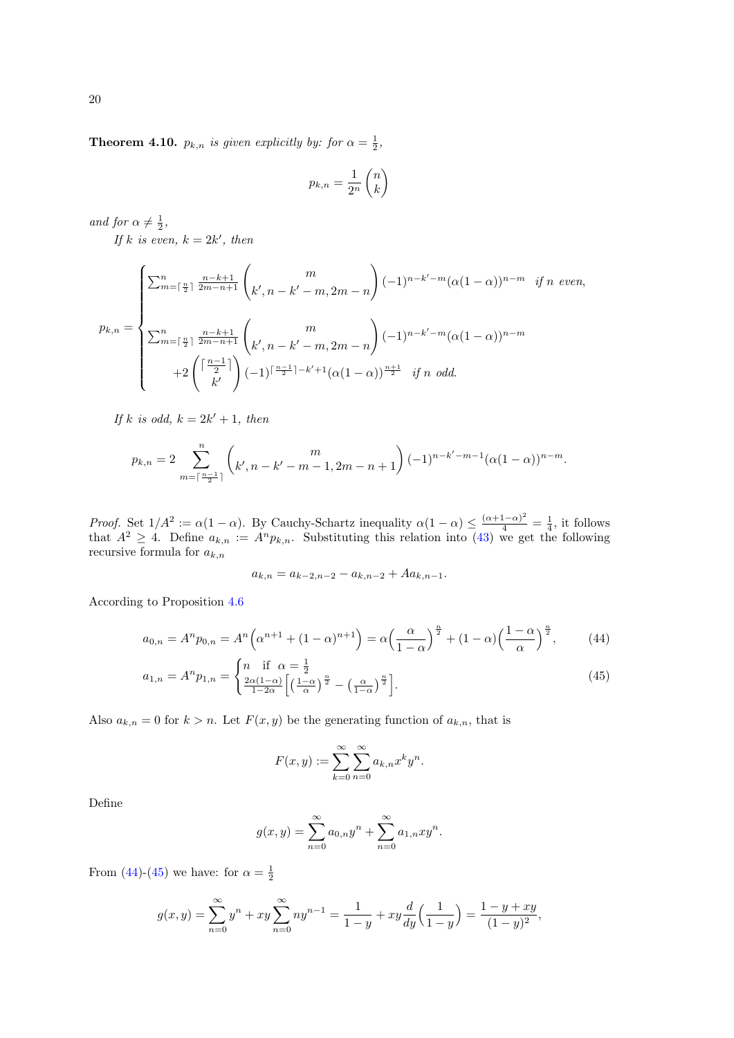<span id="page-19-0"></span>**Theorem 4.10.**  $p_{k,n}$  is given explicitly by: for  $\alpha = \frac{1}{2}$ ,

$$
p_{k,n} = \frac{1}{2^n} \begin{pmatrix} n \\ k \end{pmatrix}
$$

and for  $\alpha \neq \frac{1}{2}$ ,

If k is even,  $k = 2k'$ , then

$$
p_{k,n} = \begin{cases} \sum_{m=\lceil \frac{n}{2} \rceil}^{n} \frac{n-k+1}{2m-n+1} \binom{m}{k',n-k'-m,2m-n} (-1)^{n-k'-m} (\alpha(1-\alpha))^{n-m} & \text{if } n \text{ even,} \\ \\ \sum_{m=\lceil \frac{n}{2} \rceil}^{n} \frac{n-k+1}{2m-n+1} \binom{m}{k',n-k'-m,2m-n} (-1)^{n-k'-m} (\alpha(1-\alpha))^{n-m} \\ \\ +2 \binom{\lceil \frac{n-1}{2} \rceil}{k'} (-1)^{\lceil \frac{n-1}{2} \rceil-k'+1} (\alpha(1-\alpha))^{\frac{n+1}{2}} & \text{if } n \text{ odd.} \end{cases}
$$

If k is odd,  $k = 2k' + 1$ , then

$$
p_{k,n} = 2 \sum_{m=\lceil \frac{n-1}{2} \rceil}^{n} \left( k', n-k'-m-1, 2m-n+1 \right) (-1)^{n-k'-m-1} (\alpha (1-\alpha))^{n-m}.
$$

Proof. Set  $1/A^2 := \alpha(1-\alpha)$ . By Cauchy-Schartz inequality  $\alpha(1-\alpha) \leq \frac{(\alpha+1-\alpha)^2}{4} = \frac{1}{4}$ , it follows that  $A^2 \geq 4$ . Define  $a_{k,n} := A^n p_{k,n}$ . Substituting this relation into [\(43\)](#page-18-2) we get the following recursive formula for  $a_{k,n}$ 

$$
a_{k,n} = a_{k-2,n-2} - a_{k,n-2} + A a_{k,n-1}.
$$

According to Proposition [4.6](#page-16-0)

$$
a_{0,n} = A^n p_{0,n} = A^n \left( \alpha^{n+1} + (1 - \alpha)^{n+1} \right) = \alpha \left( \frac{\alpha}{1 - \alpha} \right)^{\frac{n}{2}} + (1 - \alpha) \left( \frac{1 - \alpha}{\alpha} \right)^{\frac{n}{2}},\tag{44}
$$

$$
a_{1,n} = A^n p_{1,n} = \begin{cases} n & \text{if } \alpha = \frac{1}{2} \\ \frac{2\alpha(1-\alpha)}{1-2\alpha} \left[ \left( \frac{1-\alpha}{\alpha} \right)^{\frac{n}{2}} - \left( \frac{\alpha}{1-\alpha} \right)^{\frac{n}{2}} \right]. \end{cases}
$$
(45)

Also  $a_{k,n} = 0$  for  $k > n$ . Let  $F(x, y)$  be the generating function of  $a_{k,n}$ , that is

<span id="page-19-2"></span><span id="page-19-1"></span>
$$
F(x,y) := \sum_{k=0}^{\infty} \sum_{n=0}^{\infty} a_{k,n} x^k y^n.
$$

Define

$$
g(x,y) = \sum_{n=0}^{\infty} a_{0,n} y^n + \sum_{n=0}^{\infty} a_{1,n} xy^n.
$$

From [\(44\)](#page-19-1)-[\(45\)](#page-19-2) we have: for  $\alpha = \frac{1}{2}$ 

$$
g(x,y) = \sum_{n=0}^{\infty} y^n + xy \sum_{n=0}^{\infty} n y^{n-1} = \frac{1}{1-y} + xy \frac{d}{dy} \left( \frac{1}{1-y} \right) = \frac{1-y+xy}{(1-y)^2},
$$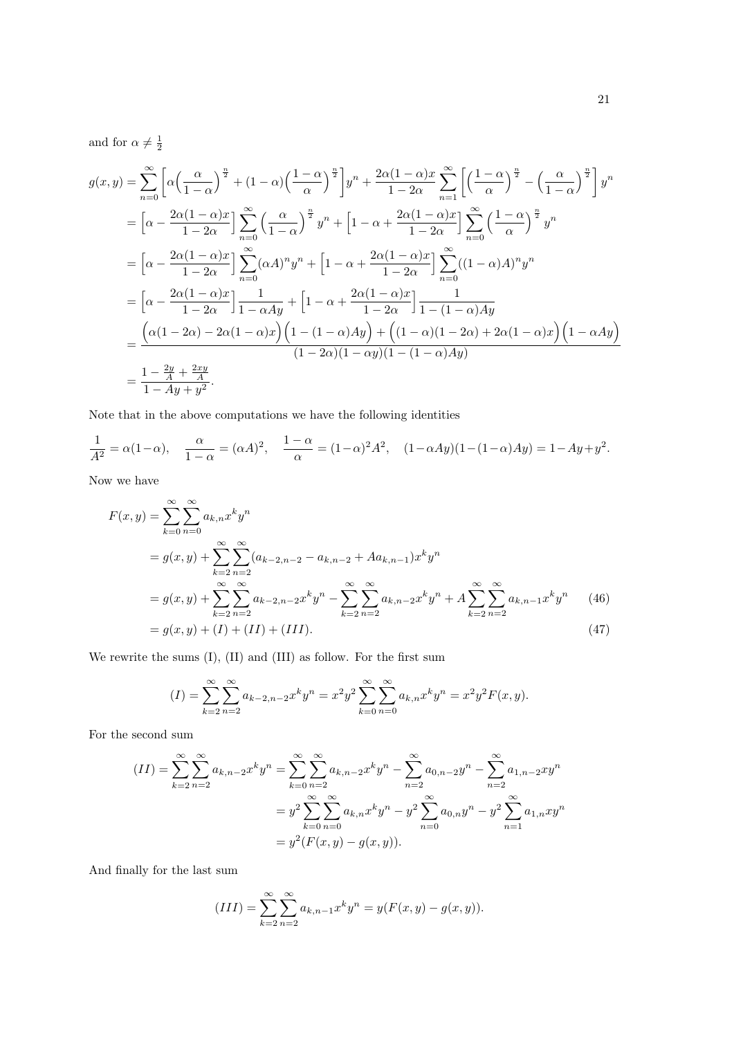and for  $\alpha \neq \frac{1}{2}$ 

$$
g(x,y) = \sum_{n=0}^{\infty} \left[ \alpha \left( \frac{\alpha}{1-\alpha} \right)^{\frac{n}{2}} + (1-\alpha) \left( \frac{1-\alpha}{\alpha} \right)^{\frac{n}{2}} \right] y^n + \frac{2\alpha(1-\alpha)x}{1-2\alpha} \sum_{n=1}^{\infty} \left[ \left( \frac{1-\alpha}{\alpha} \right)^{\frac{n}{2}} - \left( \frac{\alpha}{1-\alpha} \right)^{\frac{n}{2}} \right] y^n
$$
  
\n
$$
= \left[ \alpha - \frac{2\alpha(1-\alpha)x}{1-2\alpha} \right] \sum_{n=0}^{\infty} \left( \frac{\alpha}{1-\alpha} \right)^{\frac{n}{2}} y^n + \left[ 1 - \alpha + \frac{2\alpha(1-\alpha)x}{1-2\alpha} \right] \sum_{n=0}^{\infty} \left( \frac{1-\alpha}{\alpha} \right)^{\frac{n}{2}} y^n
$$
  
\n
$$
= \left[ \alpha - \frac{2\alpha(1-\alpha)x}{1-2\alpha} \right] \sum_{n=0}^{\infty} (\alpha A)^n y^n + \left[ 1 - \alpha + \frac{2\alpha(1-\alpha)x}{1-2\alpha} \right] \sum_{n=0}^{\infty} ((1-\alpha)A)^n y^n
$$
  
\n
$$
= \left[ \alpha - \frac{2\alpha(1-\alpha)x}{1-2\alpha} \right] \frac{1}{1-\alpha Ay} + \left[ 1 - \alpha + \frac{2\alpha(1-\alpha)x}{1-2\alpha} \right] \frac{1}{1-(1-\alpha)Ay}
$$
  
\n
$$
= \frac{\left( \alpha(1-2\alpha) - 2\alpha(1-\alpha)x \right) \left( 1 - (1-\alpha)Ay \right) + \left( (1-\alpha)(1-2\alpha) + 2\alpha(1-\alpha)x \right) \left( 1 - \alpha Ay \right)}{(1-2\alpha)(1-\alpha y)(1-(1-\alpha)Ay)}
$$
  
\n
$$
= \frac{1-\frac{2y}{A}+\frac{2xy}{A}}{1-Ay+y^2}.
$$

Note that in the above computations we have the following identities

$$
\frac{1}{A^2} = \alpha(1-\alpha), \quad \frac{\alpha}{1-\alpha} = (\alpha A)^2, \quad \frac{1-\alpha}{\alpha} = (1-\alpha)^2 A^2, \quad (1-\alpha A y)(1-(1-\alpha)Ay) = 1-Ay+y^2.
$$

Now we have

$$
F(x,y) = \sum_{k=0}^{\infty} \sum_{n=0}^{\infty} a_{k,n} x^k y^n
$$
  
=  $g(x,y) + \sum_{k=2}^{\infty} \sum_{n=2}^{\infty} (a_{k-2,n-2} - a_{k,n-2} + Aa_{k,n-1}) x^k y^n$   
=  $g(x,y) + \sum_{k=2}^{\infty} \sum_{n=2}^{\infty} a_{k-2,n-2} x^k y^n - \sum_{k=2}^{\infty} \sum_{n=2}^{\infty} a_{k,n-2} x^k y^n + A \sum_{k=2}^{\infty} \sum_{n=2}^{\infty} a_{k,n-1} x^k y^n$  (46)  
=  $g(x,y) + (I) + (II) + (III).$  (47)

We rewrite the sums (I), (II) and (III) as follow. For the first sum

<span id="page-20-0"></span>
$$
(I) = \sum_{k=2}^{\infty} \sum_{n=2}^{\infty} a_{k-2,n-2} x^k y^n = x^2 y^2 \sum_{k=0}^{\infty} \sum_{n=0}^{\infty} a_{k,n} x^k y^n = x^2 y^2 F(x, y).
$$

For the second sum

$$
(II) = \sum_{k=2}^{\infty} \sum_{n=2}^{\infty} a_{k,n-2} x^k y^n = \sum_{k=0}^{\infty} \sum_{n=2}^{\infty} a_{k,n-2} x^k y^n - \sum_{n=2}^{\infty} a_{0,n-2} y^n - \sum_{n=2}^{\infty} a_{1,n-2} x y^n
$$
  
=  $y^2 \sum_{k=0}^{\infty} \sum_{n=0}^{\infty} a_{k,n} x^k y^n - y^2 \sum_{n=0}^{\infty} a_{0,n} y^n - y^2 \sum_{n=1}^{\infty} a_{1,n} x y^n$   
=  $y^2 (F(x, y) - g(x, y)).$ 

And finally for the last sum

$$
(III) = \sum_{k=2}^{\infty} \sum_{n=2}^{\infty} a_{k,n-1} x^k y^n = y(F(x, y) - g(x, y)).
$$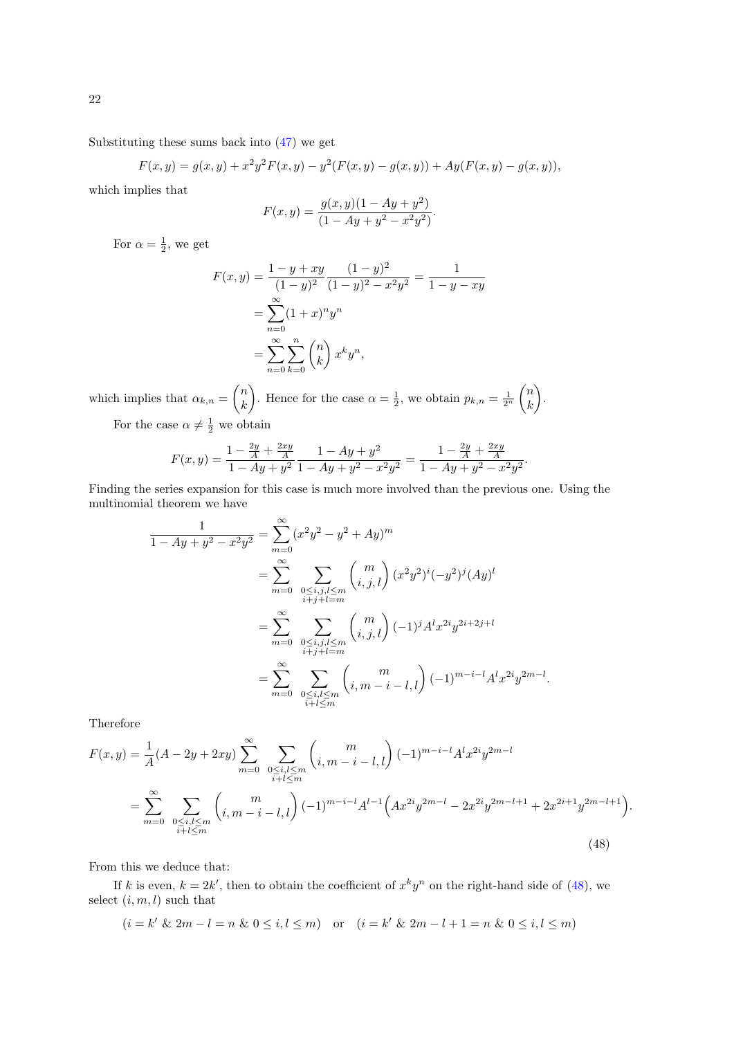Substituting these sums back into [\(47\)](#page-20-0) we get

 $F(x,y) = g(x,y) + x^2y^2F(x,y) - y^2(F(x,y) - g(x,y)) + Ay(F(x,y) - g(x,y)),$ 

which implies that

$$
F(x,y) = \frac{g(x,y)(1 - Ay + y^{2})}{(1 - Ay + y^{2} - x^{2}y^{2})}.
$$

For  $\alpha = \frac{1}{2}$ , we get

$$
F(x,y) = \frac{1-y+xy}{(1-y)^2} \frac{(1-y)^2}{(1-y)^2 - x^2y^2} = \frac{1}{1-y-xy}
$$
  
= 
$$
\sum_{n=0}^{\infty} (1+x)^n y^n
$$
  
= 
$$
\sum_{n=0}^{\infty} \sum_{k=0}^n {n \choose k} x^k y^n,
$$

which implies that  $\alpha_{k,n} = \begin{pmatrix} n \\ k \end{pmatrix}$ k ). Hence for the case  $\alpha = \frac{1}{2}$ , we obtain  $p_{k,n} = \frac{1}{2^n}$  $\sqrt{n}$ k .).

For the case  $\alpha \neq \frac{1}{2}$  we obtain

$$
F(x,y) = \frac{1 - \frac{2y}{A} + \frac{2xy}{A}}{1 - Ay + y^2} \frac{1 - Ay + y^2}{1 - Ay + y^2 - x^2 y^2} = \frac{1 - \frac{2y}{A} + \frac{2xy}{A}}{1 - Ay + y^2 - x^2 y^2}.
$$

Finding the series expansion for this case is much more involved than the previous one. Using the multinomial theorem we have

$$
\frac{1}{1 - Ay + y^2 - x^2 y^2} = \sum_{m=0}^{\infty} (x^2 y^2 - y^2 + Ay)^m
$$
  
\n
$$
= \sum_{m=0}^{\infty} \sum_{\substack{0 \le i,j,l \le m \\ i+j+l=m}} {m \choose i,j,l} (x^2 y^2)^i (-y^2)^j (Ay)^l
$$
  
\n
$$
= \sum_{m=0}^{\infty} \sum_{\substack{0 \le i,j,l \le m \\ i+j+l=m}} {m \choose i,j,l} (-1)^j A^l x^{2i} y^{2i+2j+l}
$$
  
\n
$$
= \sum_{m=0}^{\infty} \sum_{\substack{0 \le i,l \le m \\ i+l \le m}} {m \choose i,m-i-l,l} (-1)^{m-i-l} A^l x^{2i} y^{2m-l}.
$$

Therefore

$$
F(x,y) = \frac{1}{A}(A - 2y + 2xy) \sum_{m=0}^{\infty} \sum_{\substack{0 \le i,l \le m \\ i+l \le m}} {m \choose i,m-i-l,l} (-1)^{m-i-l} A^{l} x^{2i} y^{2m-l}
$$
  
= 
$$
\sum_{m=0}^{\infty} \sum_{\substack{0 \le i,l \le m \\ i+l \le m}} {m \choose i,m-i-l,l} (-1)^{m-i-l} A^{l-1} \Big( A x^{2i} y^{2m-l} - 2x^{2i} y^{2m-l+1} + 2x^{2i+1} y^{2m-l+1} \Big). \tag{48}
$$

From this we deduce that:

If k is even,  $k = 2k'$ , then to obtain the coefficient of  $x^k y^n$  on the right-hand side of [\(48\)](#page-21-0), we select  $(i, m, l)$  such that

<span id="page-21-0"></span>
$$
(i = k' \& 2m - l = n \& 0 \le i, l \le m)
$$
 or  $(i = k' \& 2m - l + 1 = n \& 0 \le i, l \le m)$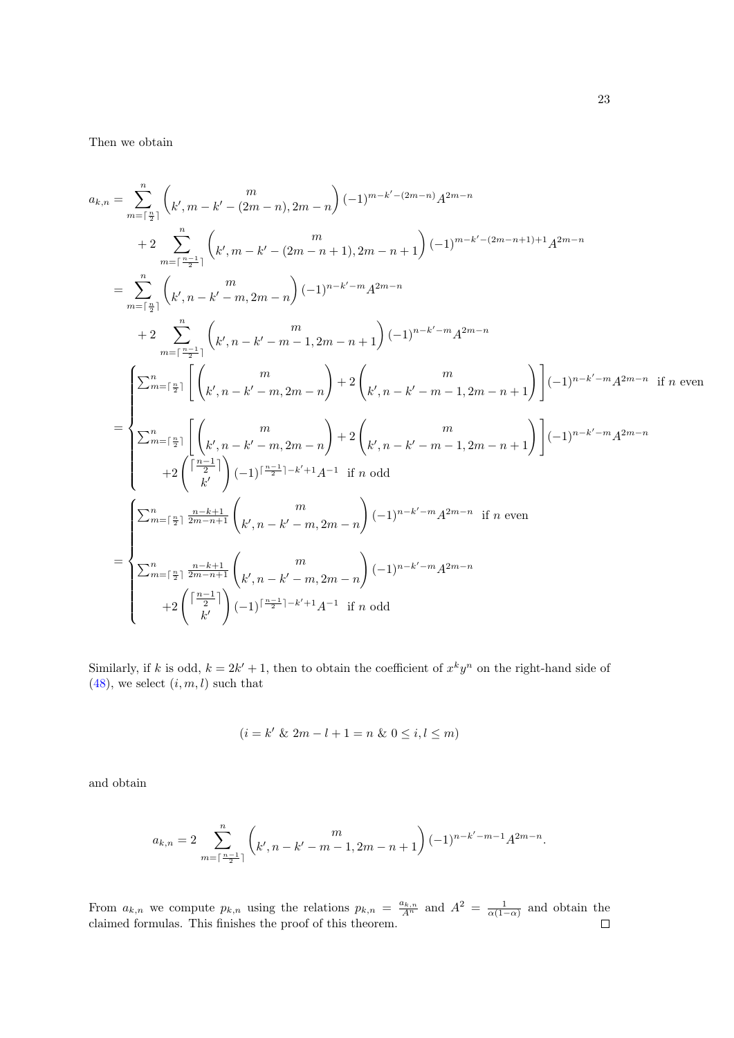Then we obtain

$$
a_{k,n} = \sum_{m=\lceil \frac{n}{2} \rceil}^{n} \binom{m}{k',m-k'-(2m-n),2m-n} (-1)^{m-k'-(2m-n)} A^{2m-n}
$$
  
+ 
$$
2 \sum_{m=\lceil \frac{n-1}{2} \rceil}^{n} \binom{m}{k',m-k'-(2m-n+1),2m-n+1} (-1)^{m-k'-(2m-n+1)+1} A^{2m-n}
$$
  
= 
$$
\sum_{m=\lceil \frac{n}{2} \rceil}^{n} \binom{m}{k',n-k'-m,2m-n} (-1)^{n-k'-m} A^{2m-n}
$$
  
+ 
$$
2 \sum_{m=\lceil \frac{n-1}{2} \rceil}^{n} \binom{m}{k',n-k'-m-1,2m-n+1} (-1)^{n-k'-m} A^{2m-n}
$$
  
= 
$$
\begin{cases} \sum_{m=\lceil \frac{n}{2} \rceil}^{n} \left( \binom{m}{k',n-k'-m,2m-n} + 2 \binom{m}{k',n-k'-m-1,2m-n+1} \right) (-1)^{n-k'-m} A^{2m-n} & \text{if } n \text{ even} \end{cases}
$$
  
= 
$$
\begin{cases} \sum_{m=\lceil \frac{n}{2} \rceil}^{n} \left( \binom{m}{k',n-k'-m,2m-n} + 2 \binom{m}{k',n-k'-m-1,2m-n+1} \right) (-1)^{n-k'-m} A^{2m-n} \\ + 2 \binom{\lceil \frac{n-1}{2} \rceil}{k'} (-1)^{\lceil \frac{n-1}{2} \rceil-k'+1} A^{-1} & \text{if } n \text{ odd} \end{cases}
$$
  
= 
$$
\begin{cases} \sum_{m=\lceil \frac{n}{2} \rceil}^{n} \frac{n-k+1}{2m-n+1} \binom{m}{k',n-k'-m,2m-n} (-1)^{n-k'-m} A^{2m-n} & \text{if } n \text{ even} \end{cases}
$$
  
= 
$$
\begin{cases} \sum_{m=\lceil \frac{n}{2} \rceil}^{n} \frac{n-k+1}{2m-n+1} \binom{m}{k',n-k'-m,2m-n} (-1)^{n-k'-m} A^{2m-n} \\ -2 \binom{\lceil \frac{n-1}{2} \rceil}{k'} (-1)^{\lceil \frac{n-1}{2
$$

Similarly, if k is odd,  $k = 2k' + 1$ , then to obtain the coefficient of  $x^k y^n$  on the right-hand side of  $(48)$ , we select  $(i, m, l)$  such that

$$
(i = k' \& 2m - l + 1 = n \& 0 \le i, l \le m)
$$

and obtain

$$
a_{k,n} = 2 \sum_{m=\lceil\frac{n-1}{2}\rceil}^{n} \binom{m}{k',n-k'-m-1,2m-n+1} (-1)^{n-k'-m-1} A^{2m-n}.
$$

From  $a_{k,n}$  we compute  $p_{k,n}$  using the relations  $p_{k,n} = \frac{a_{k,n}}{A^n}$  and  $A^2 = \frac{1}{\alpha(1-\alpha)}$  and obtain the claimed formulas. This finishes the proof of this theorem.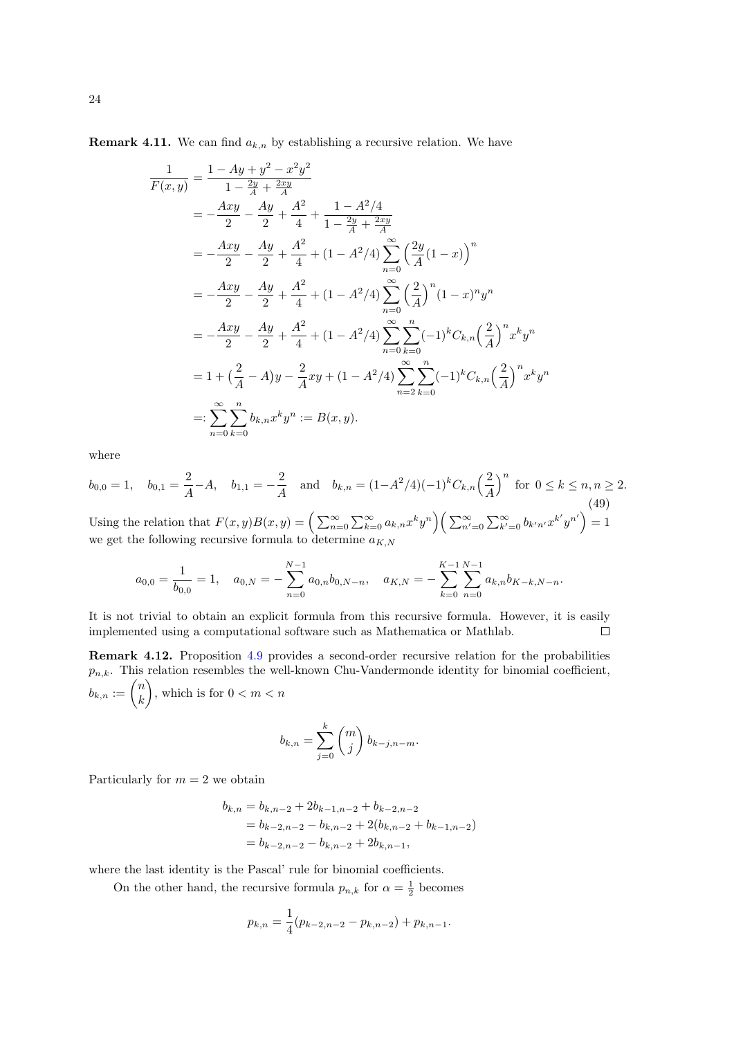**Remark 4.11.** We can find  $a_{k,n}$  by establishing a recursive relation. We have

$$
\frac{1}{F(x,y)} = \frac{1 - Ay + y^2 - x^2y^2}{1 - \frac{2y}{A} + \frac{2xy}{A}}
$$
\n
$$
= -\frac{Axy}{2} - \frac{Ay}{2} + \frac{A^2}{4} + \frac{1 - A^2/4}{1 - \frac{2y}{A} + \frac{2xy}{A}}
$$
\n
$$
= -\frac{Axy}{2} - \frac{Ay}{2} + \frac{A^2}{4} + (1 - A^2/4) \sum_{n=0}^{\infty} \left(\frac{2y}{A}(1-x)\right)^n
$$
\n
$$
= -\frac{Axy}{2} - \frac{Ay}{2} + \frac{A^2}{4} + (1 - A^2/4) \sum_{n=0}^{\infty} \left(\frac{2}{A}\right)^n (1 - x)^n y^n
$$
\n
$$
= -\frac{Axy}{2} - \frac{Ay}{2} + \frac{A^2}{4} + (1 - A^2/4) \sum_{n=0}^{\infty} \sum_{k=0}^n (-1)^k C_{k,n} \left(\frac{2}{A}\right)^n x^k y^n
$$
\n
$$
= 1 + \left(\frac{2}{A} - A\right)y - \frac{2}{A}xy + (1 - A^2/4) \sum_{n=2}^{\infty} \sum_{k=0}^n (-1)^k C_{k,n} \left(\frac{2}{A}\right)^n x^k y^n
$$
\n
$$
=: \sum_{n=0}^{\infty} \sum_{k=0}^n b_{k,n} x^k y^n := B(x, y).
$$

where

$$
b_{0,0} = 1, \quad b_{0,1} = \frac{2}{A} - A, \quad b_{1,1} = -\frac{2}{A} \quad \text{and} \quad b_{k,n} = (1 - A^2/4)(-1)^k C_{k,n} \left(\frac{2}{A}\right)^n \text{ for } 0 \le k \le n, n \ge 2.
$$
\n
$$
\text{Using the relation that } F(x,y)B(x,y) = \left(\sum_{n=0}^{\infty} \sum_{k=0}^{\infty} a_{k,n} x^k y^n \right) \left(\sum_{n'=0}^{\infty} \sum_{k'=0}^{\infty} b_{k'n'} x^{k'} y^{n'} \right) = 1
$$
\n
$$
\text{(49)}
$$

we get the following recursive formula to determine  $a_{K,N}$ 

$$
a_{0,0} = \frac{1}{b_{0,0}} = 1, \quad a_{0,N} = -\sum_{n=0}^{N-1} a_{0,n} b_{0,N-n}, \quad a_{K,N} = -\sum_{k=0}^{K-1} \sum_{n=0}^{N-1} a_{k,n} b_{K-k,N-n}.
$$

It is not trivial to obtain an explicit formula from this recursive formula. However, it is easily implemented using a computational software such as Mathematica or Mathlab.  $\Box$ 

Remark 4.12. Proposition [4.9](#page-18-3) provides a second-order recursive relation for the probabilities  $p_{n,k}$ . This relation resembles the well-known Chu-Vandermonde identity for binomial coefficient,  $b_{k,n} := \binom{n}{k}$ k ), which is for  $0 < m < n$ 

$$
b_{k,n} = \sum_{j=0}^{k} \binom{m}{j} b_{k-j,n-m}.
$$

Particularly for  $m = 2$  we obtain

$$
b_{k,n} = b_{k,n-2} + 2b_{k-1,n-2} + b_{k-2,n-2}
$$
  
=  $b_{k-2,n-2} - b_{k,n-2} + 2(b_{k,n-2} + b_{k-1,n-2})$   
=  $b_{k-2,n-2} - b_{k,n-2} + 2b_{k,n-1}$ ,

where the last identity is the Pascal' rule for binomial coefficients.

On the other hand, the recursive formula  $p_{n,k}$  for  $\alpha = \frac{1}{2}$  becomes

$$
p_{k,n} = \frac{1}{4}(p_{k-2,n-2} - p_{k,n-2}) + p_{k,n-1}.
$$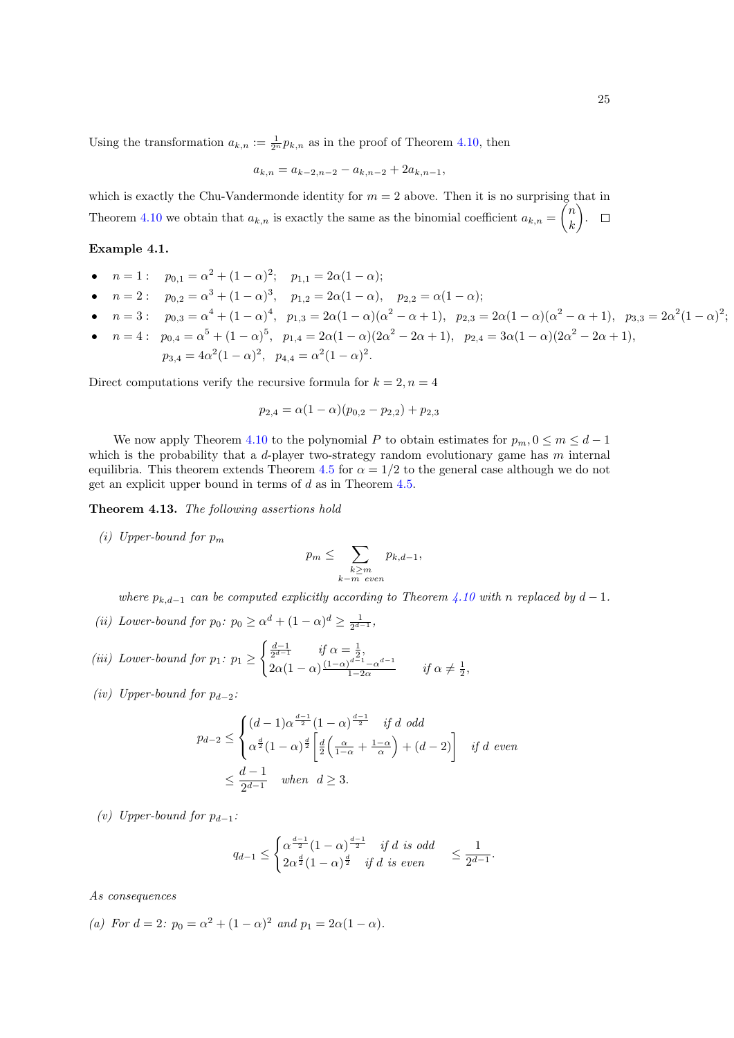Using the transformation  $a_{k,n} := \frac{1}{2^n} p_{k,n}$  as in the proof of Theorem [4.10,](#page-19-0) then

$$
a_{k,n} = a_{k-2,n-2} - a_{k,n-2} + 2a_{k,n-1},
$$

which is exactly the Chu-Vandermonde identity for  $m = 2$  above. Then it is no surprising that in Theorem [4.10](#page-19-0) we obtain that  $a_{k,n}$  is exactly the same as the binomial coefficient  $a_{k,n} = \binom{n}{k}$ k **)**.

### Example 4.1.

- $n = 1:$   $p_{0,1} = \alpha^2 + (1 \alpha)^2;$   $p_{1,1} = 2\alpha(1 \alpha);$
- $n = 2:$   $p_{0,2} = \alpha^3 + (1 \alpha)^3$ ,  $p_{1,2} = 2\alpha(1 \alpha)$ ,  $p_{2,2} = \alpha(1 \alpha)$ ;
- $n = 3:$   $p_{0,3} = \alpha^4 + (1 \alpha)^4$ ,  $p_{1,3} = 2\alpha(1 \alpha)(\alpha^2 \alpha + 1)$ ,  $p_{2,3} = 2\alpha(1 \alpha)(\alpha^2 \alpha + 1)$ ,  $p_{3,3} = 2\alpha^2(1 \alpha)^2$ ; •  $n = 4:$   $p_{0,4} = \alpha^5 + (1 - \alpha)^5$ ,  $p_{1,4} = 2\alpha(1 - \alpha)(2\alpha^2 - 2\alpha + 1)$ ,  $p_{2,4} = 3\alpha(1 - \alpha)(2\alpha^2 - 2\alpha + 1)$ ,
- $p_{3,4} = 4\alpha^2(1-\alpha)^2$ ,  $p_{4,4} = \alpha^2(1-\alpha)^2$ .

Direct computations verify the recursive formula for  $k = 2, n = 4$ 

$$
p_{2,4} = \alpha(1-\alpha)(p_{0,2}-p_{2,2}) + p_{2,3}
$$

We now apply Theorem [4.10](#page-19-0) to the polynomial P to obtain estimates for  $p_m$ ,  $0 \le m \le d-1$ which is the probability that a  $d$ -player two-strategy random evolutionary game has  $m$  internal equilibria. This theorem extends Theorem [4.5](#page-14-3) for  $\alpha = 1/2$  to the general case although we do not get an explicit upper bound in terms of  $d$  as in Theorem [4.5.](#page-14-3)

Theorem 4.13. The following assertions hold

(i) Upper-bound for  $p_m$ 

$$
p_m \leq \sum_{\substack{k \geq m \\ k-m \ even}} p_{k,d-1},
$$

where  $p_{k,d-1}$  can be computed explicitly according to Theorem [4.10](#page-19-0) with n replaced by  $d-1$ .

- (ii) Lower-bound for  $p_0$ :  $p_0 \ge \alpha^d + (1 \alpha)^d \ge \frac{1}{2^{d-1}}$ ,
- (iii) Lower-bound for  $p_1: p_1 \geq$  $\int \frac{d-1}{2^{d-1}}$  if  $\alpha = \frac{1}{2}$ ,  $2\alpha(1-\alpha)\frac{(1-\alpha)^{d-1}-\alpha^{d-1}}{1-2\alpha}$  $\frac{\partial^{a-1}-\alpha^{a-1}}{1-2\alpha}$  if  $\alpha\neq\frac{1}{2}$ ,
- (iv) Upper-bound for  $p_{d-2}$ :

$$
p_{d-2} \le \begin{cases} (d-1)\alpha^{\frac{d-1}{2}}(1-\alpha)^{\frac{d-1}{2}} & \text{if } d \text{ odd} \\ \alpha^{\frac{d}{2}}(1-\alpha)^{\frac{d}{2}}\left[\frac{d}{2}\left(\frac{\alpha}{1-\alpha}+\frac{1-\alpha}{\alpha}\right)+(d-2)\right] & \text{if } d \text{ even} \end{cases}
$$
  

$$
\le \frac{d-1}{2^{d-1}} \quad \text{when } d \ge 3.
$$

(v) Upper-bound for  $p_{d-1}$ :

$$
q_{d-1} \leq \begin{cases} \alpha^{\frac{d-1}{2}} (1-\alpha)^{\frac{d-1}{2}} & \text{if } d \text{ is odd} \\ 2\alpha^{\frac{d}{2}} (1-\alpha)^{\frac{d}{2}} & \text{if } d \text{ is even} \end{cases} \leq \frac{1}{2^{d-1}}.
$$

As consequences

(a) For  $d = 2$ :  $p_0 = \alpha^2 + (1 - \alpha)^2$  and  $p_1 = 2\alpha(1 - \alpha)$ .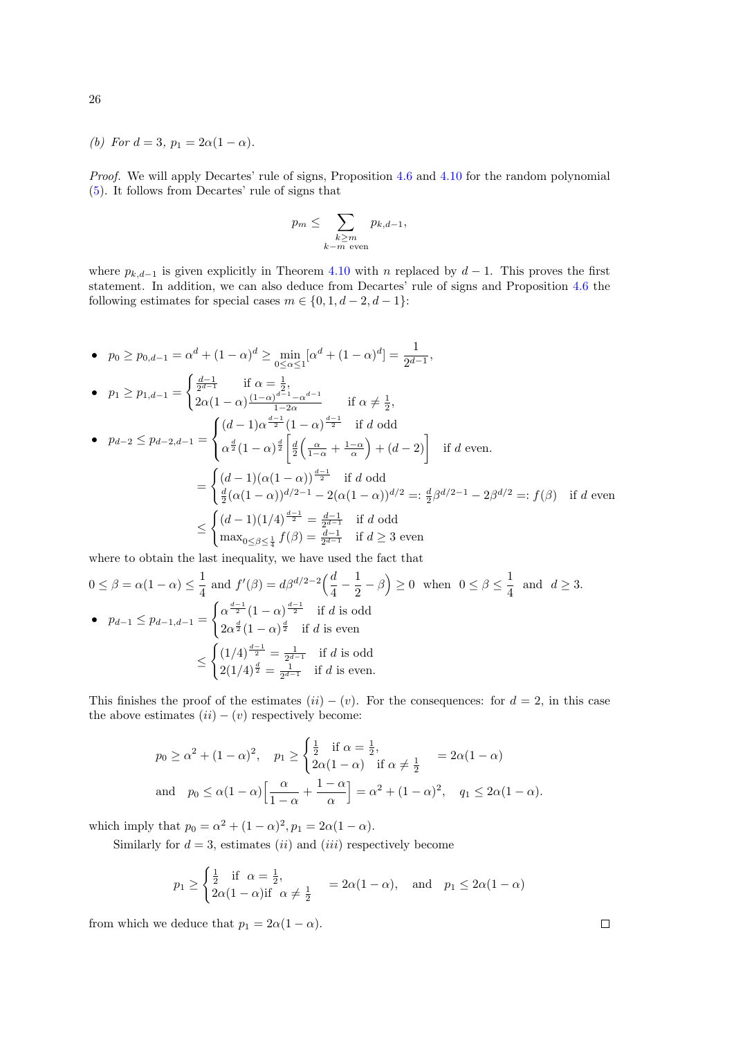(b) For 
$$
d = 3
$$
,  $p_1 = 2\alpha(1 - \alpha)$ .

Proof. We will apply Decartes' rule of signs, Proposition [4.6](#page-16-0) and [4.10](#page-19-0) for the random polynomial [\(5\)](#page-3-0). It follows from Decartes' rule of signs that

$$
p_m \leq \sum_{\substack{k \geq m \\ k-m \text{ even}}} p_{k,d-1},
$$

where  $p_{k,d-1}$  is given explicitly in Theorem [4.10](#page-19-0) with n replaced by  $d-1$ . This proves the first statement. In addition, we can also deduce from Decartes' rule of signs and Proposition [4.6](#page-16-0) the following estimates for special cases  $m \in \{0, 1, d-2, d-1\}$ :

• 
$$
p_0 \ge p_{0,d-1} = \alpha^d + (1 - \alpha)^d \ge \min_{0 \le \alpha \le 1} [\alpha^d + (1 - \alpha)^d] = \frac{1}{2^{d-1}},
$$
  
\n•  $p_1 \ge p_{1,d-1} = \begin{cases} \frac{d-1}{2^{d-1}} & \text{if } \alpha = \frac{1}{2}, \\ 2\alpha(1 - \alpha)\frac{(1 - \alpha)^{d-1} - \alpha^{d-1}}{1 - 2\alpha} & \text{if } \alpha \neq \frac{1}{2}, \end{cases}$   
\n•  $p_{d-2} \le p_{d-2,d-1} = \begin{cases} (d-1)\alpha^{\frac{d-1}{2}}(1 - \alpha)^{\frac{d-1}{2}} & \text{if } d \text{ odd} \\ \alpha^{\frac{d}{2}}(1 - \alpha)^{\frac{d}{2}} \left[ \frac{d}{2} \left( \frac{\alpha}{1 - \alpha} + \frac{1 - \alpha}{\alpha} \right) + (d - 2) \right] & \text{if } d \text{ even.} \end{cases}$   
\n $= \begin{cases} (d-1)(\alpha(1 - \alpha))^{\frac{d-1}{2}} & \text{if } d \text{ odd} \\ \frac{d}{2}(\alpha(1 - \alpha))^{d/2 - 1} - 2(\alpha(1 - \alpha))^{d/2} =: \frac{d}{2}\beta^{d/2 - 1} - 2\beta^{d/2} =: f(\beta) & \text{if } d \text{ even} \end{cases}$   
\n $\le \begin{cases} (d-1)(1/4)^{\frac{d-1}{2}} = \frac{d-1}{2^{d-1}} & \text{if } d \text{ odd} \\ \max_{0 \le \beta \le \frac{1}{4}} f(\beta) = \frac{d-1}{2^{d-1}} & \text{if } d \ge 3 \text{ even} \end{cases}$ 

where to obtain the last inequality, we have used the fact that

$$
0 \le \beta = \alpha(1 - \alpha) \le \frac{1}{4} \text{ and } f'(\beta) = d\beta^{d/2 - 2} \left(\frac{d}{4} - \frac{1}{2} - \beta\right) \ge 0 \text{ when } 0 \le \beta \le \frac{1}{4} \text{ and } d \ge 3.
$$
  
\n•  $p_{d-1} \le p_{d-1,d-1} = \begin{cases} \alpha^{\frac{d-1}{2}} (1 - \alpha)^{\frac{d-1}{2}} & \text{if } d \text{ is odd} \\ 2\alpha^{\frac{d}{2}} (1 - \alpha)^{\frac{d}{2}} & \text{if } d \text{ is even} \end{cases}$   
\n
$$
\le \begin{cases} (1/4)^{\frac{d-1}{2}} = \frac{1}{2^{d-1}} & \text{if } d \text{ is odd} \\ 2(1/4)^{\frac{d}{2}} = \frac{1}{2^{d-1}} & \text{if } d \text{ is even.} \end{cases}
$$

This finishes the proof of the estimates  $(ii) - (v)$ . For the consequences: for  $d = 2$ , in this case the above estimates  $(ii) - (v)$  respectively become:

$$
p_0 \ge \alpha^2 + (1 - \alpha)^2
$$
,  $p_1 \ge \begin{cases} \frac{1}{2} & \text{if } \alpha = \frac{1}{2}, \\ 2\alpha(1 - \alpha) & \text{if } \alpha \ne \frac{1}{2} \end{cases} = 2\alpha(1 - \alpha)$   
and  $p_0 \le \alpha(1 - \alpha) \Big[ \frac{\alpha}{1 - \alpha} + \frac{1 - \alpha}{\alpha} \Big] = \alpha^2 + (1 - \alpha)^2$ ,  $q_1 \le 2\alpha(1 - \alpha)$ .

which imply that  $p_0 = \alpha^2 + (1 - \alpha)^2, p_1 = 2\alpha(1 - \alpha)$ .

Similarly for  $d = 3$ , estimates *(ii)* and *(iii)* respectively become

$$
p_1 \ge \begin{cases} \frac{1}{2} & \text{if } \alpha = \frac{1}{2}, \\ 2\alpha(1-\alpha) & \text{if } \alpha \ne \frac{1}{2} \end{cases} = 2\alpha(1-\alpha), \quad \text{and} \quad p_1 \le 2\alpha(1-\alpha)
$$

from which we deduce that  $p_1 = 2\alpha(1 - \alpha)$ .

 $\Box$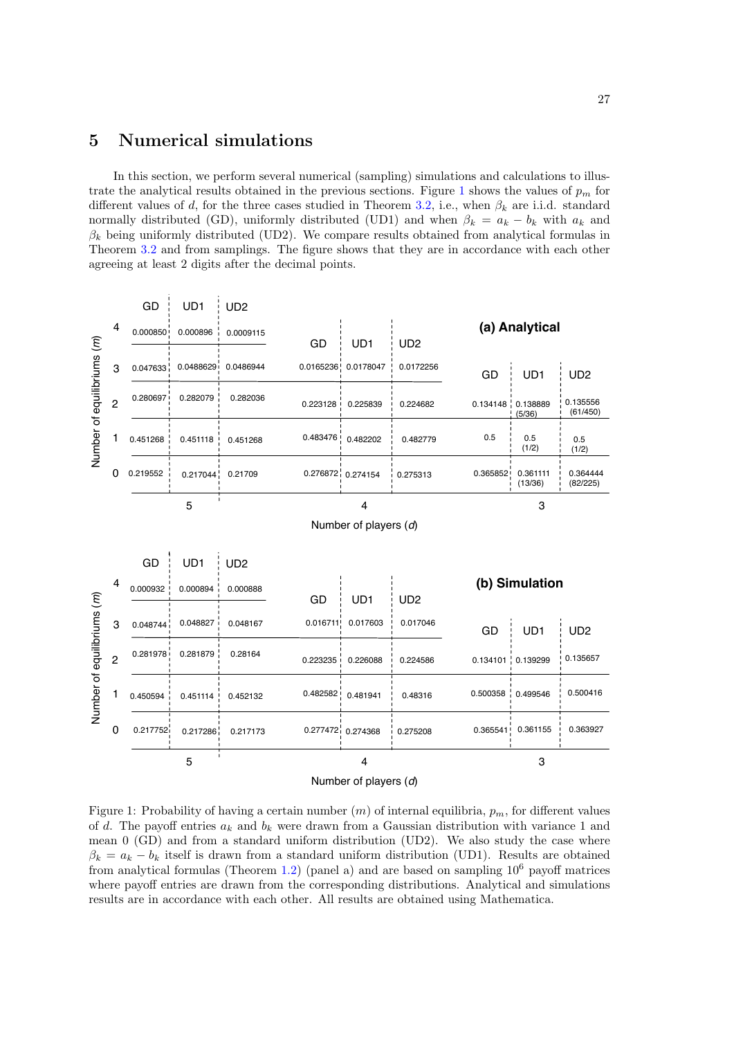## <span id="page-26-0"></span>5 Numerical simulations

In this section, we perform several numerical (sampling) simulations and calculations to illus-trate the analytical results obtained in the previous sections. Figure [1](#page-26-1) shows the values of  $p_m$  for different values of d, for the three cases studied in Theorem [3.2,](#page-6-4) i.e., when  $\beta_k$  are i.i.d. standard normally distributed (GD), uniformly distributed (UD1) and when  $\beta_k = a_k - b_k$  with  $a_k$  and  $\beta_k$  being uniformly distributed (UD2). We compare results obtained from analytical formulas in Theorem [3.2](#page-6-4) and from samplings. The figure shows that they are in accordance with each other agreeing at least 2 digits after the decimal points.



<span id="page-26-1"></span>Figure 1: Probability of having a certain number  $(m)$  of internal equilibria,  $p_m$ , for different values of d. The payoff entries  $a_k$  and  $b_k$  were drawn from a Gaussian distribution with variance 1 and mean 0 (GD) and from a standard uniform distribution (UD2). We also study the case where  $\beta_k = a_k - b_k$  itself is drawn from a standard uniform distribution (UD1). Results are obtained from analytical formulas (Theorem [1.2\)](#page-2-2) (panel a) and are based on sampling  $10^6$  payoff matrices where payoff entries are drawn from the corresponding distributions. Analytical and simulations results are in accordance with each other. All results are obtained using Mathematica.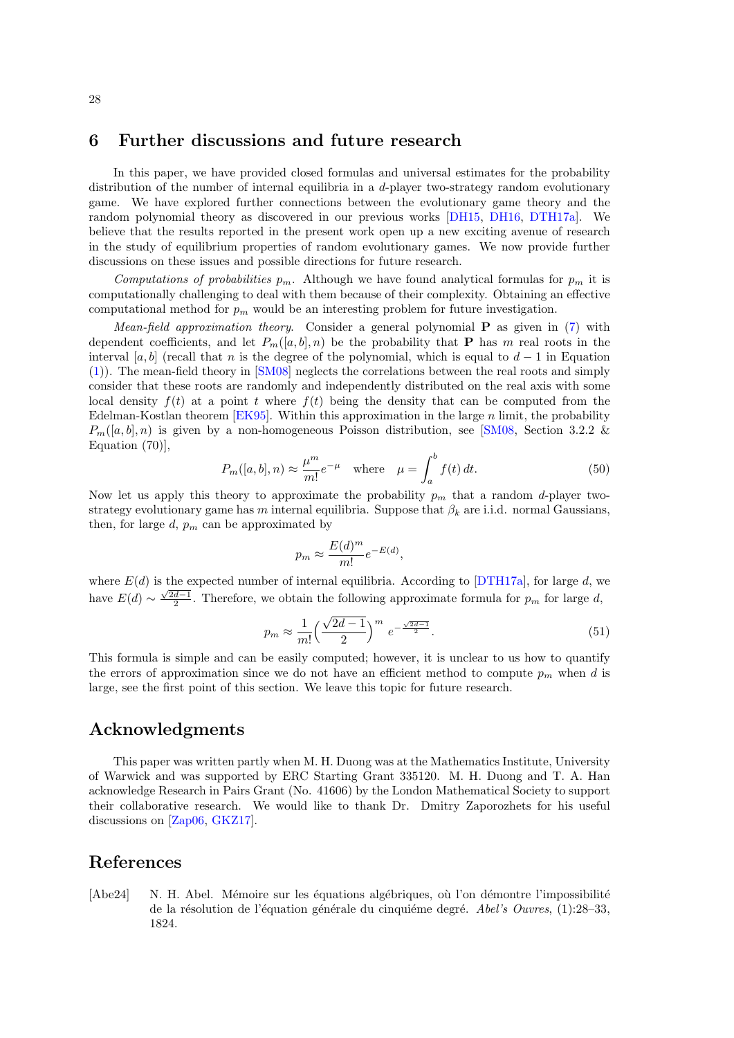## <span id="page-27-1"></span>6 Further discussions and future research

In this paper, we have provided closed formulas and universal estimates for the probability distribution of the number of internal equilibria in a d-player two-strategy random evolutionary game. We have explored further connections between the evolutionary game theory and the random polynomial theory as discovered in our previous works [\[DH15,](#page-28-7) [DH16,](#page-28-8) [DTH17a\]](#page-28-11). We believe that the results reported in the present work open up a new exciting avenue of research in the study of equilibrium properties of random evolutionary games. We now provide further discussions on these issues and possible directions for future research.

Computations of probabilities  $p_m$ . Although we have found analytical formulas for  $p_m$  it is computationally challenging to deal with them because of their complexity. Obtaining an effective computational method for  $p_m$  would be an interesting problem for future investigation.

Mean-field approximation theory. Consider a general polynomial  $P$  as given in [\(7\)](#page-4-5) with dependent coefficients, and let  $P_m([a, b], n)$  be the probability that **P** has m real roots in the interval [a, b] (recall that n is the degree of the polynomial, which is equal to  $d-1$  in Equation [\(1\)](#page-1-0)). The mean-field theory in [\[SM08\]](#page-30-7) neglects the correlations between the real roots and simply consider that these roots are randomly and independently distributed on the real axis with some local density  $f(t)$  at a point t where  $f(t)$  being the density that can be computed from the Edelman-Kostlan theorem  $[EK95]$ . Within this approximation in the large n limit, the probability  $P_m([a, b], n)$  is given by a non-homogeneous Poisson distribution, see [\[SM08,](#page-30-7) Section 3.2.2 & Equation (70)],

$$
P_m([a, b], n) \approx \frac{\mu^m}{m!} e^{-\mu} \quad \text{where} \quad \mu = \int_a^b f(t) dt. \tag{50}
$$

Now let us apply this theory to approximate the probability  $p_m$  that a random d-player twostrategy evolutionary game has m internal equilibria. Suppose that  $\beta_k$  are i.i.d. normal Gaussians, then, for large  $d$ ,  $p_m$  can be approximated by

$$
p_m \approx \frac{E(d)^m}{m!} e^{-E(d)},
$$

where  $E(d)$  is the expected number of internal equilibria. According to [\[DTH17a\]](#page-28-11), for large d, we have  $E(d) \sim \frac{\sqrt{2d-1}}{2}$ . Therefore, we obtain the following approximate formula for  $p_m$  for large d,

$$
p_m \approx \frac{1}{m!} \left(\frac{\sqrt{2d-1}}{2}\right)^m e^{-\frac{\sqrt{2d-1}}{2}}.
$$
 (51)

This formula is simple and can be easily computed; however, it is unclear to us how to quantify the errors of approximation since we do not have an efficient method to compute  $p_m$  when d is large, see the first point of this section. We leave this topic for future research.

## Acknowledgments

This paper was written partly when M. H. Duong was at the Mathematics Institute, University of Warwick and was supported by ERC Starting Grant 335120. M. H. Duong and T. A. Han acknowledge Research in Pairs Grant (No. 41606) by the London Mathematical Society to support their collaborative research. We would like to thank Dr. Dmitry Zaporozhets for his useful discussions on [\[Zap06,](#page-30-6) [GKZ17\]](#page-28-15).

## References

<span id="page-27-0"></span>[Abe24] N. H. Abel. Mémoire sur les équations algébriques, où l'on démontre l'impossibilité de la résolution de l'équation générale du cinquième degré. Abel's Ouvres,  $(1):28-33$ , 1824.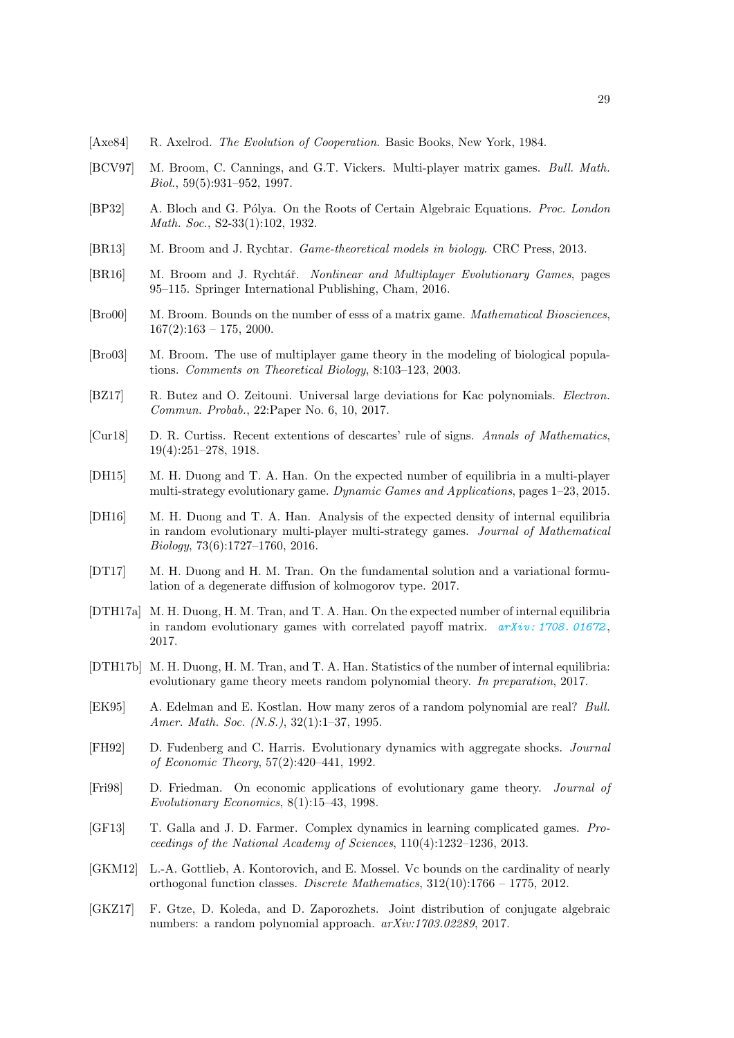- <span id="page-28-0"></span>[Axe84] R. Axelrod. The Evolution of Cooperation. Basic Books, New York, 1984.
- <span id="page-28-5"></span>[BCV97] M. Broom, C. Cannings, and G.T. Vickers. Multi-player matrix games. Bull. Math. Biol., 59(5):931–952, 1997.
- <span id="page-28-16"></span>[BP32] A. Bloch and G. Pólya. On the Roots of Certain Algebraic Equations. Proc. London Math. Soc., S2-33(1):102, 1932.
- <span id="page-28-1"></span>[BR13] M. Broom and J. Rychtar. Game-theoretical models in biology. CRC Press, 2013.
- <span id="page-28-9"></span>[BR16] M. Broom and J. Rychtář. Nonlinear and Multiplayer Evolutionary Games, pages 95–115. Springer International Publishing, Cham, 2016.
- <span id="page-28-10"></span>[Bro00] M. Broom. Bounds on the number of esss of a matrix game. Mathematical Biosciences,  $167(2):163 - 175$ , 2000.
- <span id="page-28-6"></span>[Bro03] M. Broom. The use of multiplayer game theory in the modeling of biological populations. Comments on Theoretical Biology, 8:103–123, 2003.
- <span id="page-28-14"></span>[BZ17] R. Butez and O. Zeitouni. Universal large deviations for Kac polynomials. Electron. Commun. Probab., 22:Paper No. 6, 10, 2017.
- <span id="page-28-17"></span>[Cur18] D. R. Curtiss. Recent extentions of descartes' rule of signs. Annals of Mathematics, 19(4):251–278, 1918.
- <span id="page-28-7"></span>[DH15] M. H. Duong and T. A. Han. On the expected number of equilibria in a multi-player multi-strategy evolutionary game. Dynamic Games and Applications, pages 1–23, 2015.
- <span id="page-28-8"></span>[DH16] M. H. Duong and T. A. Han. Analysis of the expected density of internal equilibria in random evolutionary multi-player multi-strategy games. Journal of Mathematical Biology, 73(6):1727–1760, 2016.
- <span id="page-28-18"></span>[DT17] M. H. Duong and H. M. Tran. On the fundamental solution and a variational formulation of a degenerate diffusion of kolmogorov type. 2017.
- <span id="page-28-11"></span>[DTH17a] M. H. Duong, H. M. Tran, and T. A. Han. On the expected number of internal equilibria in random evolutionary games with correlated payoff matrix.  $arXiv: 1708. 01672$ , 2017.
- <span id="page-28-13"></span>[DTH17b] M. H. Duong, H. M. Tran, and T. A. Han. Statistics of the number of internal equilibria: evolutionary game theory meets random polynomial theory. In preparation, 2017.
- <span id="page-28-12"></span>[EK95] A. Edelman and E. Kostlan. How many zeros of a random polynomial are real? Bull. Amer. Math. Soc. (N.S.), 32(1):1-37, 1995.
- <span id="page-28-3"></span>[FH92] D. Fudenberg and C. Harris. Evolutionary dynamics with aggregate shocks. Journal of Economic Theory, 57(2):420–441, 1992.
- <span id="page-28-2"></span>[Fri98] D. Friedman. On economic applications of evolutionary game theory. Journal of Evolutionary Economics, 8(1):15–43, 1998.
- <span id="page-28-4"></span>[GF13] T. Galla and J. D. Farmer. Complex dynamics in learning complicated games. Proceedings of the National Academy of Sciences, 110(4):1232–1236, 2013.
- <span id="page-28-19"></span>[GKM12] L.-A. Gottlieb, A. Kontorovich, and E. Mossel. Vc bounds on the cardinality of nearly orthogonal function classes. Discrete Mathematics, 312(10):1766 – 1775, 2012.
- <span id="page-28-15"></span>[GKZ17] F. Gtze, D. Koleda, and D. Zaporozhets. Joint distribution of conjugate algebraic numbers: a random polynomial approach. arXiv:1703.02289, 2017.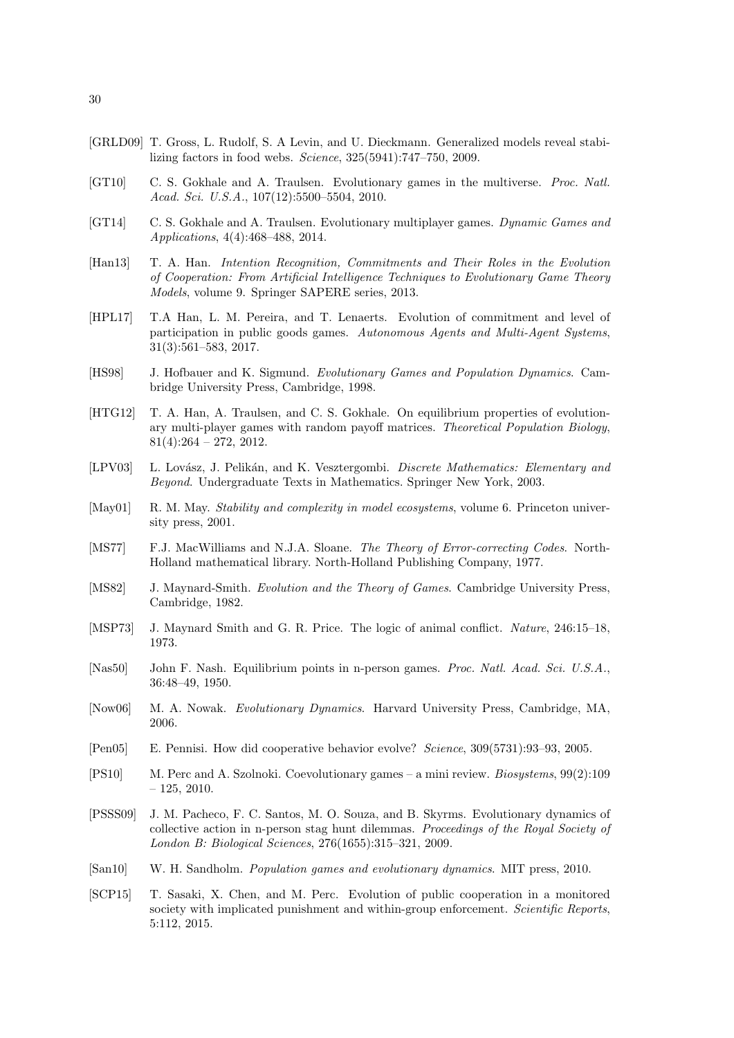- <span id="page-29-11"></span>[GRLD09] T. Gross, L. Rudolf, S. A Levin, and U. Dieckmann. Generalized models reveal stabilizing factors in food webs. Science, 325(5941):747–750, 2009.
- <span id="page-29-13"></span>[GT10] C. S. Gokhale and A. Traulsen. Evolutionary games in the multiverse. Proc. Natl. Acad. Sci. U.S.A., 107(12):5500–5504, 2010.
- <span id="page-29-14"></span>[GT14] C. S. Gokhale and A. Traulsen. Evolutionary multiplayer games. Dynamic Games and Applications, 4(4):468–488, 2014.
- <span id="page-29-7"></span>[Han13] T. A. Han. Intention Recognition, Commitments and Their Roles in the Evolution of Cooperation: From Artificial Intelligence Techniques to Evolutionary Game Theory Models, volume 9. Springer SAPERE series, 2013.
- <span id="page-29-6"></span>[HPL17] T.A Han, L. M. Pereira, and T. Lenaerts. Evolution of commitment and level of participation in public goods games. Autonomous Agents and Multi-Agent Systems, 31(3):561–583, 2017.
- <span id="page-29-2"></span>[HS98] J. Hofbauer and K. Sigmund. Evolutionary Games and Population Dynamics. Cambridge University Press, Cambridge, 1998.
- <span id="page-29-10"></span>[HTG12] T. A. Han, A. Traulsen, and C. S. Gokhale. On equilibrium properties of evolutionary multi-player games with random payoff matrices. Theoretical Population Biology,  $81(4):264 - 272, 2012.$
- <span id="page-29-18"></span>[LPV03] L. Lovász, J. Pelikán, and K. Vesztergombi. Discrete Mathematics: Elementary and Beyond. Undergraduate Texts in Mathematics. Springer New York, 2003.
- <span id="page-29-9"></span>[May01] R. M. May. Stability and complexity in model ecosystems, volume 6. Princeton university press, 2001.
- <span id="page-29-17"></span>[MS77] F.J. MacWilliams and N.J.A. Sloane. The Theory of Error-correcting Codes. North-Holland mathematical library. North-Holland Publishing Company, 1977.
- <span id="page-29-1"></span>[MS82] J. Maynard-Smith. Evolution and the Theory of Games. Cambridge University Press, Cambridge, 1982.
- <span id="page-29-0"></span>[MSP73] J. Maynard Smith and G. R. Price. The logic of animal conflict. Nature, 246:15-18, 1973.
- <span id="page-29-12"></span>[Nas50] John F. Nash. Equilibrium points in n-person games. Proc. Natl. Acad. Sci. U.S.A., 36:48–49, 1950.
- <span id="page-29-3"></span>[Now06] M. A. Nowak. Evolutionary Dynamics. Harvard University Press, Cambridge, MA, 2006.
- <span id="page-29-8"></span>[Pen05] E. Pennisi. How did cooperative behavior evolve? Science, 309(5731):93–93, 2005.
- <span id="page-29-4"></span>[PS10] M. Perc and A. Szolnoki. Coevolutionary games – a mini review. Biosystems, 99(2):109  $-125, 2010.$
- <span id="page-29-15"></span>[PSSS09] J. M. Pacheco, F. C. Santos, M. O. Souza, and B. Skyrms. Evolutionary dynamics of collective action in n-person stag hunt dilemmas. Proceedings of the Royal Society of London B: Biological Sciences, 276(1655):315–321, 2009.
- <span id="page-29-5"></span>[San10] W. H. Sandholm. Population games and evolutionary dynamics. MIT press, 2010.
- <span id="page-29-16"></span>[SCP15] T. Sasaki, X. Chen, and M. Perc. Evolution of public cooperation in a monitored society with implicated punishment and within-group enforcement. Scientific Reports, 5:112, 2015.